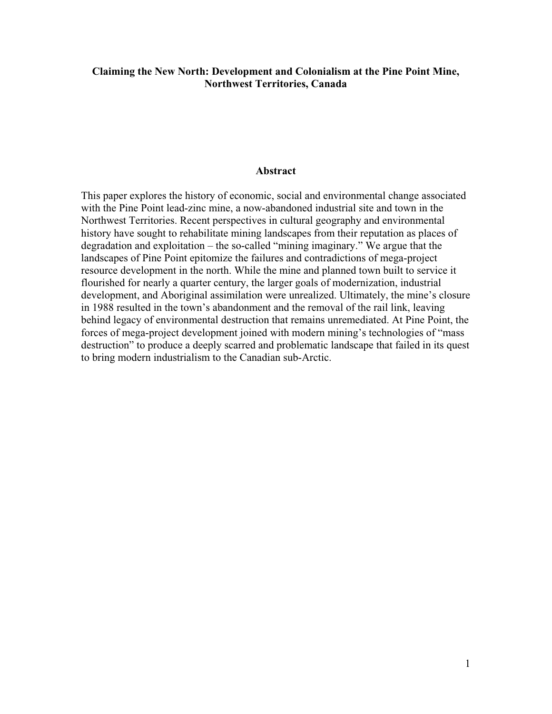# **Claiming the New North: Development and Colonialism at the Pine Point Mine, Northwest Territories, Canada**

#### **Abstract**

This paper explores the history of economic, social and environmental change associated with the Pine Point lead-zinc mine, a now-abandoned industrial site and town in the Northwest Territories. Recent perspectives in cultural geography and environmental history have sought to rehabilitate mining landscapes from their reputation as places of degradation and exploitation – the so-called "mining imaginary." We argue that the landscapes of Pine Point epitomize the failures and contradictions of mega-project resource development in the north. While the mine and planned town built to service it flourished for nearly a quarter century, the larger goals of modernization, industrial development, and Aboriginal assimilation were unrealized. Ultimately, the mine's closure in 1988 resulted in the town's abandonment and the removal of the rail link, leaving behind legacy of environmental destruction that remains unremediated. At Pine Point, the forces of mega-project development joined with modern mining's technologies of "mass destruction" to produce a deeply scarred and problematic landscape that failed in its quest to bring modern industrialism to the Canadian sub-Arctic.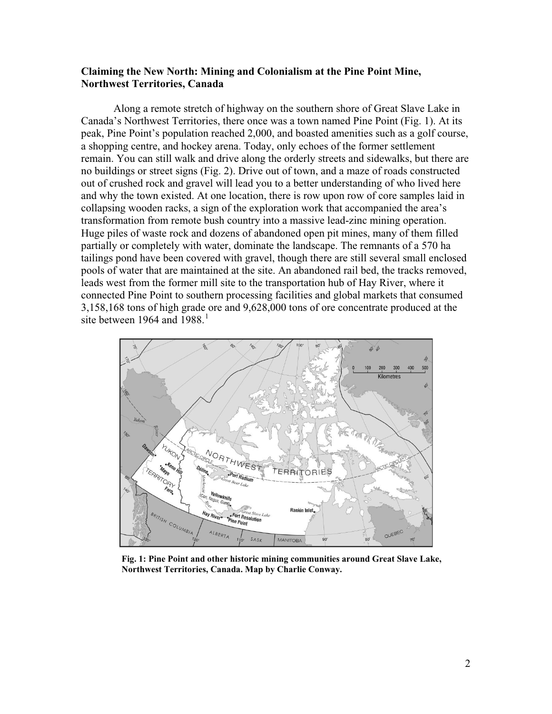## **Claiming the New North: Mining and Colonialism at the Pine Point Mine, Northwest Territories, Canada**

Along a remote stretch of highway on the southern shore of Great Slave Lake in Canada's Northwest Territories, there once was a town named Pine Point (Fig. 1). At its peak, Pine Point's population reached 2,000, and boasted amenities such as a golf course, a shopping centre, and hockey arena. Today, only echoes of the former settlement remain. You can still walk and drive along the orderly streets and sidewalks, but there are no buildings or street signs (Fig. 2). Drive out of town, and a maze of roads constructed out of crushed rock and gravel will lead you to a better understanding of who lived here and why the town existed. At one location, there is row upon row of core samples laid in collapsing wooden racks, a sign of the exploration work that accompanied the area's transformation from remote bush country into a massive lead-zinc mining operation. Huge piles of waste rock and dozens of abandoned open pit mines, many of them filled partially or completely with water, dominate the landscape. The remnants of a 570 ha tailings pond have been covered with gravel, though there are still several small enclosed pools of water that are maintained at the site. An abandoned rail bed, the tracks removed, leads west from the former mill site to the transportation hub of Hay River, where it connected Pine Point to southern processing facilities and global markets that consumed 3,158,168 tons of high grade ore and 9,628,000 tons of ore concentrate produced at the site between [1](#page-19-0)964 and 1988.<sup>1</sup>



**Fig. 1: Pine Point and other historic mining communities around Great Slave Lake, Northwest Territories, Canada. Map by Charlie Conway.**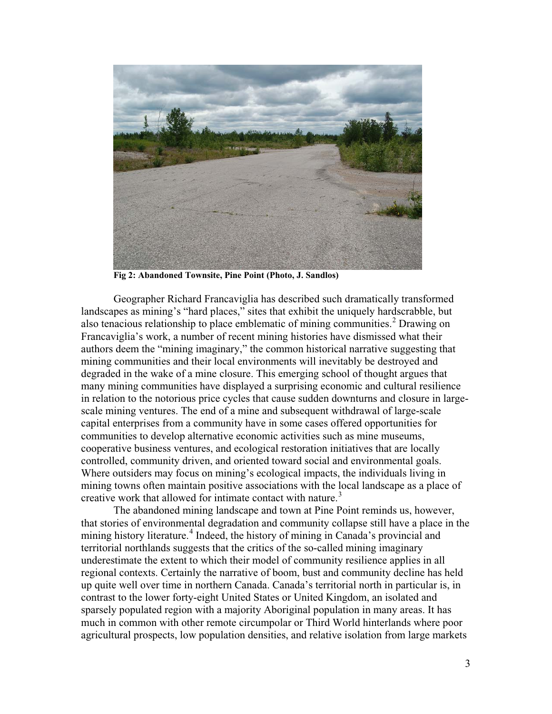

**Fig 2: Abandoned Townsite, Pine Point (Photo, J. Sandlos)**

Geographer Richard Francaviglia has described such dramatically transformed landscapes as mining's "hard places," sites that exhibit the uniquely hardscrabble, but also tenacious relationship to place emblematic of mining communities. [2](#page-19-1) Drawing on Francaviglia's work, a number of recent mining histories have dismissed what their authors deem the "mining imaginary," the common historical narrative suggesting that mining communities and their local environments will inevitably be destroyed and degraded in the wake of a mine closure. This emerging school of thought argues that many mining communities have displayed a surprising economic and cultural resilience in relation to the notorious price cycles that cause sudden downturns and closure in largescale mining ventures. The end of a mine and subsequent withdrawal of large-scale capital enterprises from a community have in some cases offered opportunities for communities to develop alternative economic activities such as mine museums, cooperative business ventures, and ecological restoration initiatives that are locally controlled, community driven, and oriented toward social and environmental goals. Where outsiders may focus on mining's ecological impacts, the individuals living in mining towns often maintain positive associations with the local landscape as a place of creative work that allowed for intimate contact with nature.<sup>[3](#page-19-2)</sup>

The abandoned mining landscape and town at Pine Point reminds us, however, that stories of environmental degradation and community collapse still have a place in the mining history literature.<sup>[4](#page-19-3)</sup> Indeed, the history of mining in Canada's provincial and territorial northlands suggests that the critics of the so-called mining imaginary underestimate the extent to which their model of community resilience applies in all regional contexts. Certainly the narrative of boom, bust and community decline has held up quite well over time in northern Canada. Canada's territorial north in particular is, in contrast to the lower forty-eight United States or United Kingdom, an isolated and sparsely populated region with a majority Aboriginal population in many areas. It has much in common with other remote circumpolar or Third World hinterlands where poor agricultural prospects, low population densities, and relative isolation from large markets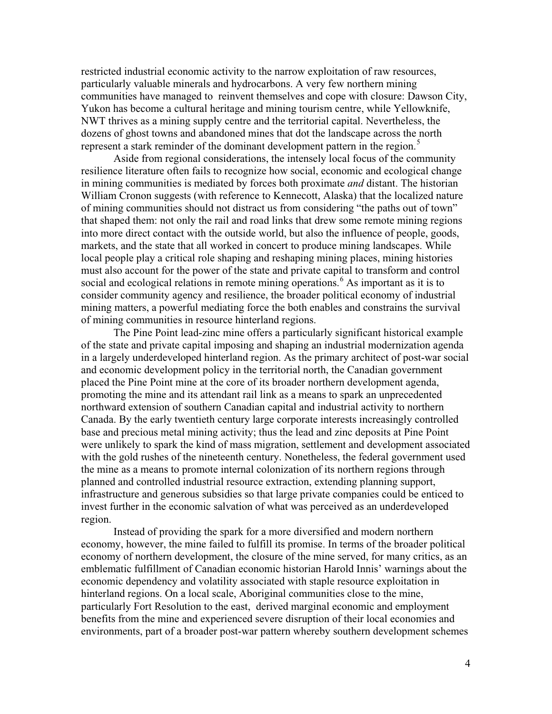restricted industrial economic activity to the narrow exploitation of raw resources, particularly valuable minerals and hydrocarbons. A very few northern mining communities have managed to reinvent themselves and cope with closure: Dawson City, Yukon has become a cultural heritage and mining tourism centre, while Yellowknife, NWT thrives as a mining supply centre and the territorial capital. Nevertheless, the dozens of ghost towns and abandoned mines that dot the landscape across the north represent a stark reminder of the dominant development pattern in the region.<sup>[5](#page-20-0)</sup>

Aside from regional considerations, the intensely local focus of the community resilience literature often fails to recognize how social, economic and ecological change in mining communities is mediated by forces both proximate *and* distant. The historian William Cronon suggests (with reference to Kennecott, Alaska) that the localized nature of mining communities should not distract us from considering "the paths out of town" that shaped them: not only the rail and road links that drew some remote mining regions into more direct contact with the outside world, but also the influence of people, goods, markets, and the state that all worked in concert to produce mining landscapes. While local people play a critical role shaping and reshaping mining places, mining histories must also account for the power of the state and private capital to transform and control social and ecological relations in remote mining operations.<sup>[6](#page-20-1)</sup> As important as it is to consider community agency and resilience, the broader political economy of industrial mining matters, a powerful mediating force the both enables and constrains the survival of mining communities in resource hinterland regions.

The Pine Point lead-zinc mine offers a particularly significant historical example of the state and private capital imposing and shaping an industrial modernization agenda in a largely underdeveloped hinterland region. As the primary architect of post-war social and economic development policy in the territorial north, the Canadian government placed the Pine Point mine at the core of its broader northern development agenda, promoting the mine and its attendant rail link as a means to spark an unprecedented northward extension of southern Canadian capital and industrial activity to northern Canada. By the early twentieth century large corporate interests increasingly controlled base and precious metal mining activity; thus the lead and zinc deposits at Pine Point were unlikely to spark the kind of mass migration, settlement and development associated with the gold rushes of the nineteenth century. Nonetheless, the federal government used the mine as a means to promote internal colonization of its northern regions through planned and controlled industrial resource extraction, extending planning support, infrastructure and generous subsidies so that large private companies could be enticed to invest further in the economic salvation of what was perceived as an underdeveloped region.

Instead of providing the spark for a more diversified and modern northern economy, however, the mine failed to fulfill its promise. In terms of the broader political economy of northern development, the closure of the mine served, for many critics, as an emblematic fulfillment of Canadian economic historian Harold Innis' warnings about the economic dependency and volatility associated with staple resource exploitation in hinterland regions. On a local scale, Aboriginal communities close to the mine, particularly Fort Resolution to the east, derived marginal economic and employment benefits from the mine and experienced severe disruption of their local economies and environments, part of a broader post-war pattern whereby southern development schemes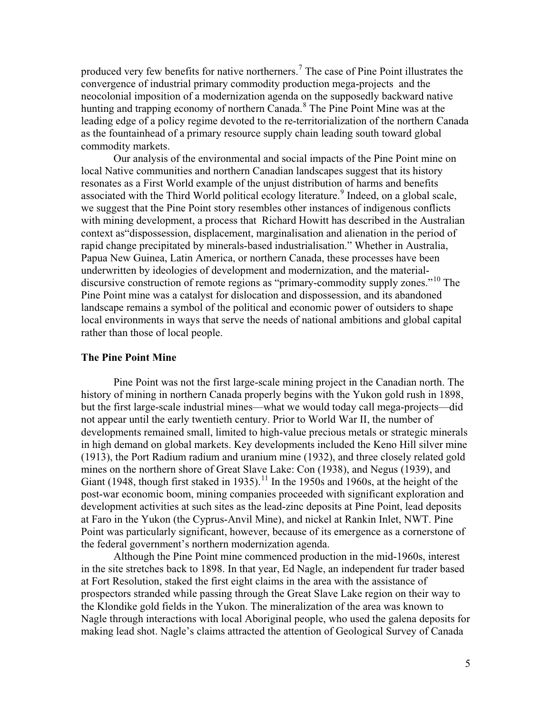produced very few benefits for native northerners. [7](#page-21-0) The case of Pine Point illustrates the convergence of industrial primary commodity production mega-projects and the neocolonial imposition of a modernization agenda on the supposedly backward native hunting and trapping economy of northern Canada.<sup>[8](#page-21-1)</sup> The Pine Point Mine was at the leading edge of a policy regime devoted to the re-territorialization of the northern Canada as the fountainhead of a primary resource supply chain leading south toward global commodity markets.

Our analysis of the environmental and social impacts of the Pine Point mine on local Native communities and northern Canadian landscapes suggest that its history resonates as a First World example of the unjust distribution of harms and benefits associated with the Third World political ecology literature.<sup>[9](#page-21-2)</sup> Indeed, on a global scale, we suggest that the Pine Point story resembles other instances of indigenous conflicts with mining development, a process that Richard Howitt has described in the Australian context as"dispossession, displacement, marginalisation and alienation in the period of rapid change precipitated by minerals-based industrialisation." Whether in Australia, Papua New Guinea, Latin America, or northern Canada, these processes have been underwritten by ideologies of development and modernization, and the material-discursive construction of remote regions as "primary-commodity supply zones."<sup>[10](#page-21-3)</sup> The Pine Point mine was a catalyst for dislocation and dispossession, and its abandoned landscape remains a symbol of the political and economic power of outsiders to shape local environments in ways that serve the needs of national ambitions and global capital rather than those of local people.

### **The Pine Point Mine**

Pine Point was not the first large-scale mining project in the Canadian north. The history of mining in northern Canada properly begins with the Yukon gold rush in 1898, but the first large-scale industrial mines—what we would today call mega-projects—did not appear until the early twentieth century. Prior to World War II, the number of developments remained small, limited to high-value precious metals or strategic minerals in high demand on global markets. Key developments included the Keno Hill silver mine (1913), the Port Radium radium and uranium mine (1932), and three closely related gold mines on the northern shore of Great Slave Lake: Con (1938), and Negus (1939), and Giant (1948, though first staked in 1935).<sup>[11](#page-21-4)</sup> In the 1950s and 1960s, at the height of the post-war economic boom, mining companies proceeded with significant exploration and development activities at such sites as the lead-zinc deposits at Pine Point, lead deposits at Faro in the Yukon (the Cyprus-Anvil Mine), and nickel at Rankin Inlet, NWT. Pine Point was particularly significant, however, because of its emergence as a cornerstone of the federal government's northern modernization agenda.

Although the Pine Point mine commenced production in the mid-1960s, interest in the site stretches back to 1898. In that year, Ed Nagle, an independent fur trader based at Fort Resolution, staked the first eight claims in the area with the assistance of prospectors stranded while passing through the Great Slave Lake region on their way to the Klondike gold fields in the Yukon. The mineralization of the area was known to Nagle through interactions with local Aboriginal people, who used the galena deposits for making lead shot. Nagle's claims attracted the attention of Geological Survey of Canada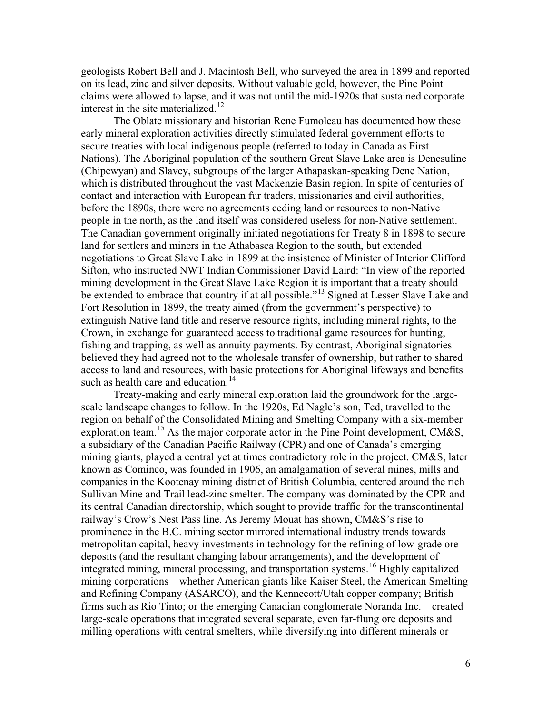geologists Robert Bell and J. Macintosh Bell, who surveyed the area in 1899 and reported on its lead, zinc and silver deposits. Without valuable gold, however, the Pine Point claims were allowed to lapse, and it was not until the mid-1920s that sustained corporate interest in the site materialized.<sup>[12](#page-22-0)</sup>

The Oblate missionary and historian Rene Fumoleau has documented how these early mineral exploration activities directly stimulated federal government efforts to secure treaties with local indigenous people (referred to today in Canada as First Nations). The Aboriginal population of the southern Great Slave Lake area is Denesuline (Chipewyan) and Slavey, subgroups of the larger Athapaskan-speaking Dene Nation, which is distributed throughout the vast Mackenzie Basin region. In spite of centuries of contact and interaction with European fur traders, missionaries and civil authorities, before the 1890s, there were no agreements ceding land or resources to non-Native people in the north, as the land itself was considered useless for non-Native settlement. The Canadian government originally initiated negotiations for Treaty 8 in 1898 to secure land for settlers and miners in the Athabasca Region to the south, but extended negotiations to Great Slave Lake in 1899 at the insistence of Minister of Interior Clifford Sifton, who instructed NWT Indian Commissioner David Laird: "In view of the reported mining development in the Great Slave Lake Region it is important that a treaty should be extended to embrace that country if at all possible."<sup>[13](#page-22-1)</sup> Signed at Lesser Slave Lake and Fort Resolution in 1899, the treaty aimed (from the government's perspective) to extinguish Native land title and reserve resource rights, including mineral rights, to the Crown, in exchange for guaranteed access to traditional game resources for hunting, fishing and trapping, as well as annuity payments. By contrast, Aboriginal signatories believed they had agreed not to the wholesale transfer of ownership, but rather to shared access to land and resources, with basic protections for Aboriginal lifeways and benefits such as health care and education.<sup>[14](#page-22-2)</sup>

Treaty-making and early mineral exploration laid the groundwork for the largescale landscape changes to follow. In the 1920s, Ed Nagle's son, Ted, travelled to the region on behalf of the Consolidated Mining and Smelting Company with a six-member exploration team.<sup>[15](#page-22-3)</sup> As the major corporate actor in the Pine Point development, CM&S, a subsidiary of the Canadian Pacific Railway (CPR) and one of Canada's emerging mining giants, played a central yet at times contradictory role in the project. CM&S, later known as Cominco, was founded in 1906, an amalgamation of several mines, mills and companies in the Kootenay mining district of British Columbia, centered around the rich Sullivan Mine and Trail lead-zinc smelter. The company was dominated by the CPR and its central Canadian directorship, which sought to provide traffic for the transcontinental railway's Crow's Nest Pass line. As Jeremy Mouat has shown, CM&S's rise to prominence in the B.C. mining sector mirrored international industry trends towards metropolitan capital, heavy investments in technology for the refining of low-grade ore deposits (and the resultant changing labour arrangements), and the development of integrated mining, mineral processing, and transportation systems.<sup>[16](#page-22-4)</sup> Highly capitalized mining corporations—whether American giants like Kaiser Steel, the American Smelting and Refining Company (ASARCO), and the Kennecott/Utah copper company; British firms such as Rio Tinto; or the emerging Canadian conglomerate Noranda Inc.—created large-scale operations that integrated several separate, even far-flung ore deposits and milling operations with central smelters, while diversifying into different minerals or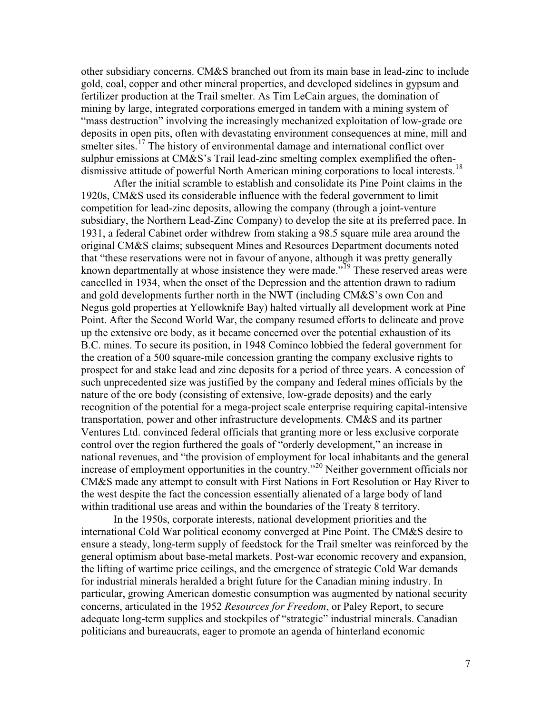other subsidiary concerns. CM&S branched out from its main base in lead-zinc to include gold, coal, copper and other mineral properties, and developed sidelines in gypsum and fertilizer production at the Trail smelter. As Tim LeCain argues, the domination of mining by large, integrated corporations emerged in tandem with a mining system of "mass destruction" involving the increasingly mechanized exploitation of low-grade ore deposits in open pits, often with devastating environment consequences at mine, mill and smelter sites.<sup>[17](#page-23-0)</sup> The history of environmental damage and international conflict over sulphur emissions at CM&S's Trail lead-zinc smelting complex exemplified the often-dismissive attitude of powerful North American mining corporations to local interests.<sup>[18](#page-23-1)</sup>

After the initial scramble to establish and consolidate its Pine Point claims in the 1920s, CM&S used its considerable influence with the federal government to limit competition for lead-zinc deposits, allowing the company (through a joint-venture subsidiary, the Northern Lead-Zinc Company) to develop the site at its preferred pace. In 1931, a federal Cabinet order withdrew from staking a 98.5 square mile area around the original CM&S claims; subsequent Mines and Resources Department documents noted that "these reservations were not in favour of anyone, although it was pretty generally known departmentally at whose insistence they were made."<sup>[19](#page-23-2)</sup> These reserved areas were cancelled in 1934, when the onset of the Depression and the attention drawn to radium and gold developments further north in the NWT (including CM&S's own Con and Negus gold properties at Yellowknife Bay) halted virtually all development work at Pine Point. After the Second World War, the company resumed efforts to delineate and prove up the extensive ore body, as it became concerned over the potential exhaustion of its B.C. mines. To secure its position, in 1948 Cominco lobbied the federal government for the creation of a 500 square-mile concession granting the company exclusive rights to prospect for and stake lead and zinc deposits for a period of three years. A concession of such unprecedented size was justified by the company and federal mines officials by the nature of the ore body (consisting of extensive, low-grade deposits) and the early recognition of the potential for a mega-project scale enterprise requiring capital-intensive transportation, power and other infrastructure developments. CM&S and its partner Ventures Ltd. convinced federal officials that granting more or less exclusive corporate control over the region furthered the goals of "orderly development," an increase in national revenues, and "the provision of employment for local inhabitants and the general increase of employment opportunities in the country."[20](#page-23-3) Neither government officials nor CM&S made any attempt to consult with First Nations in Fort Resolution or Hay River to the west despite the fact the concession essentially alienated of a large body of land within traditional use areas and within the boundaries of the Treaty 8 territory.

In the 1950s, corporate interests, national development priorities and the international Cold War political economy converged at Pine Point. The CM&S desire to ensure a steady, long-term supply of feedstock for the Trail smelter was reinforced by the general optimism about base-metal markets. Post-war economic recovery and expansion, the lifting of wartime price ceilings, and the emergence of strategic Cold War demands for industrial minerals heralded a bright future for the Canadian mining industry. In particular, growing American domestic consumption was augmented by national security concerns, articulated in the 1952 *Resources for Freedom*, or Paley Report, to secure adequate long-term supplies and stockpiles of "strategic" industrial minerals. Canadian politicians and bureaucrats, eager to promote an agenda of hinterland economic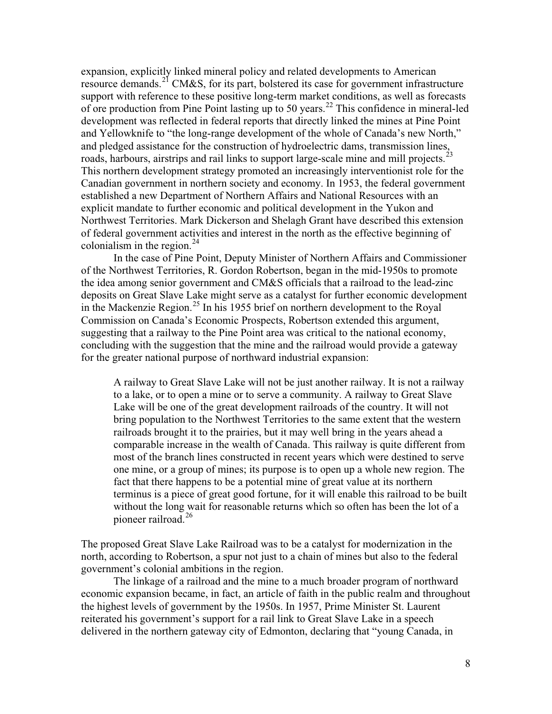expansion, explicitly linked mineral policy and related developments to American resource demands.<sup>[21](#page-24-0)</sup> CM&S, for its part, bolstered its case for government infrastructure support with reference to these positive long-term market conditions, as well as forecasts of ore production from Pine Point lasting up to 50 years.[22](#page-24-1) This confidence in mineral-led development was reflected in federal reports that directly linked the mines at Pine Point and Yellowknife to "the long-range development of the whole of Canada's new North," and pledged assistance for the construction of hydroelectric dams, transmission lines, roads, harbours, airstrips and rail links to support large-scale mine and mill projects.<sup>[23](#page-24-2)</sup> This northern development strategy promoted an increasingly interventionist role for the Canadian government in northern society and economy. In 1953, the federal government established a new Department of Northern Affairs and National Resources with an explicit mandate to further economic and political development in the Yukon and Northwest Territories. Mark Dickerson and Shelagh Grant have described this extension of federal government activities and interest in the north as the effective beginning of colonialism in the region. $^{24}$  $^{24}$  $^{24}$ 

In the case of Pine Point, Deputy Minister of Northern Affairs and Commissioner of the Northwest Territories, R. Gordon Robertson, began in the mid-1950s to promote the idea among senior government and CM&S officials that a railroad to the lead-zinc deposits on Great Slave Lake might serve as a catalyst for further economic development in the Mackenzie Region.<sup>[25](#page-24-4)</sup> In his 1955 brief on northern development to the Royal Commission on Canada's Economic Prospects, Robertson extended this argument, suggesting that a railway to the Pine Point area was critical to the national economy, concluding with the suggestion that the mine and the railroad would provide a gateway for the greater national purpose of northward industrial expansion:

A railway to Great Slave Lake will not be just another railway. It is not a railway to a lake, or to open a mine or to serve a community. A railway to Great Slave Lake will be one of the great development railroads of the country. It will not bring population to the Northwest Territories to the same extent that the western railroads brought it to the prairies, but it may well bring in the years ahead a comparable increase in the wealth of Canada. This railway is quite different from most of the branch lines constructed in recent years which were destined to serve one mine, or a group of mines; its purpose is to open up a whole new region. The fact that there happens to be a potential mine of great value at its northern terminus is a piece of great good fortune, for it will enable this railroad to be built without the long wait for reasonable returns which so often has been the lot of a pioneer railroad.<sup>[26](#page-24-5)</sup>

The proposed Great Slave Lake Railroad was to be a catalyst for modernization in the north, according to Robertson, a spur not just to a chain of mines but also to the federal government's colonial ambitions in the region.

The linkage of a railroad and the mine to a much broader program of northward economic expansion became, in fact, an article of faith in the public realm and throughout the highest levels of government by the 1950s. In 1957, Prime Minister St. Laurent reiterated his government's support for a rail link to Great Slave Lake in a speech delivered in the northern gateway city of Edmonton, declaring that "young Canada, in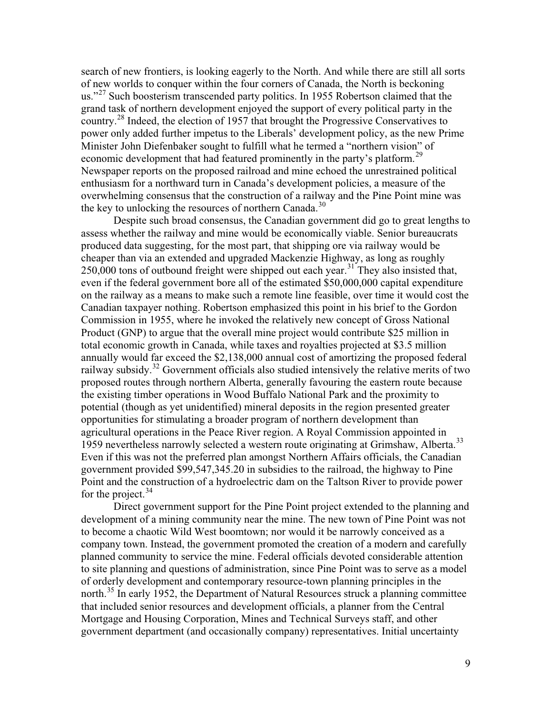search of new frontiers, is looking eagerly to the North. And while there are still all sorts of new worlds to conquer within the four corners of Canada, the North is beckoning us."<sup>[27](#page-25-0)</sup> Such boosterism transcended party politics. In 1955 Robertson claimed that the grand task of northern development enjoyed the support of every political party in the country.[28](#page-25-1) Indeed, the election of 1957 that brought the Progressive Conservatives to power only added further impetus to the Liberals' development policy, as the new Prime Minister John Diefenbaker sought to fulfill what he termed a "northern vision" of economic development that had featured prominently in the party's platform.<sup>[29](#page-25-2)</sup> Newspaper reports on the proposed railroad and mine echoed the unrestrained political enthusiasm for a northward turn in Canada's development policies, a measure of the overwhelming consensus that the construction of a railway and the Pine Point mine was the key to unlocking the resources of northern Canada.<sup>[30](#page-25-3)</sup>

Despite such broad consensus, the Canadian government did go to great lengths to assess whether the railway and mine would be economically viable. Senior bureaucrats produced data suggesting, for the most part, that shipping ore via railway would be cheaper than via an extended and upgraded Mackenzie Highway, as long as roughly 250,000 tons of outbound freight were shipped out each year.<sup>[31](#page-25-4)</sup> They also insisted that, even if the federal government bore all of the estimated \$50,000,000 capital expenditure on the railway as a means to make such a remote line feasible, over time it would cost the Canadian taxpayer nothing. Robertson emphasized this point in his brief to the Gordon Commission in 1955, where he invoked the relatively new concept of Gross National Product (GNP) to argue that the overall mine project would contribute \$25 million in total economic growth in Canada, while taxes and royalties projected at \$3.5 million annually would far exceed the \$2,138,000 annual cost of amortizing the proposed federal railway subsidy.<sup>[32](#page-25-5)</sup> Government officials also studied intensively the relative merits of two proposed routes through northern Alberta, generally favouring the eastern route because the existing timber operations in Wood Buffalo National Park and the proximity to potential (though as yet unidentified) mineral deposits in the region presented greater opportunities for stimulating a broader program of northern development than agricultural operations in the Peace River region. A Royal Commission appointed in 1959 nevertheless narrowly selected a western route originating at Grimshaw, Alberta.<sup>[33](#page-25-6)</sup> Even if this was not the preferred plan amongst Northern Affairs officials, the Canadian government provided \$99,547,345.20 in subsidies to the railroad, the highway to Pine Point and the construction of a hydroelectric dam on the Taltson River to provide power for the project.<sup>[34](#page-25-7)</sup>

Direct government support for the Pine Point project extended to the planning and development of a mining community near the mine. The new town of Pine Point was not to become a chaotic Wild West boomtown; nor would it be narrowly conceived as a company town. Instead, the government promoted the creation of a modern and carefully planned community to service the mine. Federal officials devoted considerable attention to site planning and questions of administration, since Pine Point was to serve as a model of orderly development and contemporary resource-town planning principles in the north.<sup>[35](#page-25-8)</sup> In early 1952, the Department of Natural Resources struck a planning committee that included senior resources and development officials, a planner from the Central Mortgage and Housing Corporation, Mines and Technical Surveys staff, and other government department (and occasionally company) representatives. Initial uncertainty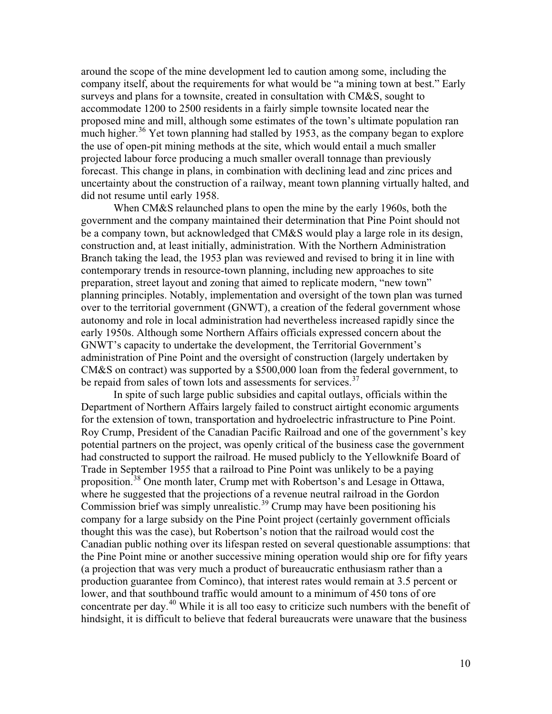around the scope of the mine development led to caution among some, including the company itself, about the requirements for what would be "a mining town at best." Early surveys and plans for a townsite, created in consultation with CM&S, sought to accommodate 1200 to 2500 residents in a fairly simple townsite located near the proposed mine and mill, although some estimates of the town's ultimate population ran much higher.<sup>[36](#page-25-9)</sup> Yet town planning had stalled by 1953, as the company began to explore the use of open-pit mining methods at the site, which would entail a much smaller projected labour force producing a much smaller overall tonnage than previously forecast. This change in plans, in combination with declining lead and zinc prices and uncertainty about the construction of a railway, meant town planning virtually halted, and did not resume until early 1958.

When CM&S relaunched plans to open the mine by the early 1960s, both the government and the company maintained their determination that Pine Point should not be a company town, but acknowledged that CM&S would play a large role in its design, construction and, at least initially, administration. With the Northern Administration Branch taking the lead, the 1953 plan was reviewed and revised to bring it in line with contemporary trends in resource-town planning, including new approaches to site preparation, street layout and zoning that aimed to replicate modern, "new town" planning principles. Notably, implementation and oversight of the town plan was turned over to the territorial government (GNWT), a creation of the federal government whose autonomy and role in local administration had nevertheless increased rapidly since the early 1950s. Although some Northern Affairs officials expressed concern about the GNWT's capacity to undertake the development, the Territorial Government's administration of Pine Point and the oversight of construction (largely undertaken by CM&S on contract) was supported by a \$500,000 loan from the federal government, to be repaid from sales of town lots and assessments for services.<sup>[37](#page-25-10)</sup>

In spite of such large public subsidies and capital outlays, officials within the Department of Northern Affairs largely failed to construct airtight economic arguments for the extension of town, transportation and hydroelectric infrastructure to Pine Point. Roy Crump, President of the Canadian Pacific Railroad and one of the government's key potential partners on the project, was openly critical of the business case the government had constructed to support the railroad. He mused publicly to the Yellowknife Board of Trade in September 1955 that a railroad to Pine Point was unlikely to be a paying proposition.[38](#page-25-11) One month later, Crump met with Robertson's and Lesage in Ottawa, where he suggested that the projections of a revenue neutral railroad in the Gordon Commission brief was simply unrealistic.<sup>[39](#page-25-12)</sup> Crump may have been positioning his company for a large subsidy on the Pine Point project (certainly government officials thought this was the case), but Robertson's notion that the railroad would cost the Canadian public nothing over its lifespan rested on several questionable assumptions: that the Pine Point mine or another successive mining operation would ship ore for fifty years (a projection that was very much a product of bureaucratic enthusiasm rather than a production guarantee from Cominco), that interest rates would remain at 3.5 percent or lower, and that southbound traffic would amount to a minimum of 450 tons of ore concentrate per day.[40](#page-25-13) While it is all too easy to criticize such numbers with the benefit of hindsight, it is difficult to believe that federal bureaucrats were unaware that the business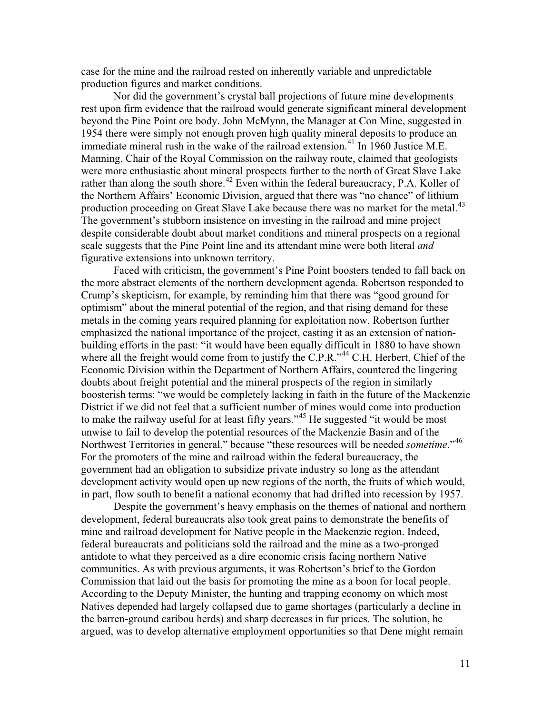case for the mine and the railroad rested on inherently variable and unpredictable production figures and market conditions.

Nor did the government's crystal ball projections of future mine developments rest upon firm evidence that the railroad would generate significant mineral development beyond the Pine Point ore body. John McMynn, the Manager at Con Mine, suggested in 1954 there were simply not enough proven high quality mineral deposits to produce an immediate mineral rush in the wake of the railroad extension.<sup>[41](#page-25-14)</sup> In 1960 Justice M.E. Manning, Chair of the Royal Commission on the railway route, claimed that geologists were more enthusiastic about mineral prospects further to the north of Great Slave Lake rather than along the south shore.<sup>[42](#page-25-3)</sup> Even within the federal bureaucracy, P.A. Koller of the Northern Affairs' Economic Division, argued that there was "no chance" of lithium production proceeding on Great Slave Lake because there was no market for the metal.<sup>[43](#page-25-15)</sup> The government's stubborn insistence on investing in the railroad and mine project despite considerable doubt about market conditions and mineral prospects on a regional scale suggests that the Pine Point line and its attendant mine were both literal *and*  figurative extensions into unknown territory.

Faced with criticism, the government's Pine Point boosters tended to fall back on the more abstract elements of the northern development agenda. Robertson responded to Crump's skepticism, for example, by reminding him that there was "good ground for optimism" about the mineral potential of the region, and that rising demand for these metals in the coming years required planning for exploitation now. Robertson further emphasized the national importance of the project, casting it as an extension of nationbuilding efforts in the past: "it would have been equally difficult in 1880 to have shown where all the freight would come from to justify the C.P.R."<sup>[44](#page-25-16)</sup> C.H. Herbert, Chief of the Economic Division within the Department of Northern Affairs, countered the lingering doubts about freight potential and the mineral prospects of the region in similarly boosterish terms: "we would be completely lacking in faith in the future of the Mackenzie District if we did not feel that a sufficient number of mines would come into production to make the railway useful for at least fifty years."<sup>[45](#page-25-17)</sup> He suggested "it would be most unwise to fail to develop the potential resources of the Mackenzie Basin and of the Northwest Territories in general," because "these resources will be needed *sometime*."[46](#page-25-18) For the promoters of the mine and railroad within the federal bureaucracy, the government had an obligation to subsidize private industry so long as the attendant development activity would open up new regions of the north, the fruits of which would, in part, flow south to benefit a national economy that had drifted into recession by 1957.

Despite the government's heavy emphasis on the themes of national and northern development, federal bureaucrats also took great pains to demonstrate the benefits of mine and railroad development for Native people in the Mackenzie region. Indeed, federal bureaucrats and politicians sold the railroad and the mine as a two-pronged antidote to what they perceived as a dire economic crisis facing northern Native communities. As with previous arguments, it was Robertson's brief to the Gordon Commission that laid out the basis for promoting the mine as a boon for local people. According to the Deputy Minister, the hunting and trapping economy on which most Natives depended had largely collapsed due to game shortages (particularly a decline in the barren-ground caribou herds) and sharp decreases in fur prices. The solution, he argued, was to develop alternative employment opportunities so that Dene might remain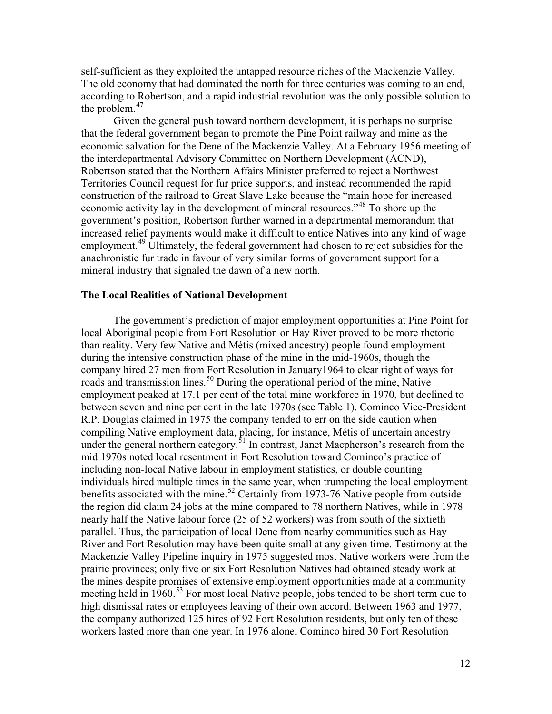self-sufficient as they exploited the untapped resource riches of the Mackenzie Valley. The old economy that had dominated the north for three centuries was coming to an end, according to Robertson, and a rapid industrial revolution was the only possible solution to the problem. $47$ 

Given the general push toward northern development, it is perhaps no surprise that the federal government began to promote the Pine Point railway and mine as the economic salvation for the Dene of the Mackenzie Valley. At a February 1956 meeting of the interdepartmental Advisory Committee on Northern Development (ACND), Robertson stated that the Northern Affairs Minister preferred to reject a Northwest Territories Council request for fur price supports, and instead recommended the rapid construction of the railroad to Great Slave Lake because the "main hope for increased economic activity lay in the development of mineral resources."<sup>[48](#page-25-20)</sup> To shore up the government's position, Robertson further warned in a departmental memorandum that increased relief payments would make it difficult to entice Natives into any kind of wage employment.<sup>[49](#page-25-5)</sup> Ultimately, the federal government had chosen to reject subsidies for the anachronistic fur trade in favour of very similar forms of government support for a mineral industry that signaled the dawn of a new north.

### **The Local Realities of National Development**

The government's prediction of major employment opportunities at Pine Point for local Aboriginal people from Fort Resolution or Hay River proved to be more rhetoric than reality. Very few Native and Métis (mixed ancestry) people found employment during the intensive construction phase of the mine in the mid-1960s, though the company hired 27 men from Fort Resolution in January1964 to clear right of ways for roads and transmission lines.<sup>[50](#page-25-6)</sup> During the operational period of the mine, Native employment peaked at 17.1 per cent of the total mine workforce in 1970, but declined to between seven and nine per cent in the late 1970s (see Table 1). Cominco Vice-President R.P. Douglas claimed in 1975 the company tended to err on the side caution when compiling Native employment data, placing, for instance, Métis of uncertain ancestry under the general northern category.<sup>[51](#page-25-21)</sup> In contrast, Janet Macpherson's research from the mid 1970s noted local resentment in Fort Resolution toward Cominco's practice of including non-local Native labour in employment statistics, or double counting individuals hired multiple times in the same year, when trumpeting the local employment benefits associated with the mine.<sup>[52](#page-25-22)</sup> Certainly from 1973-76 Native people from outside the region did claim 24 jobs at the mine compared to 78 northern Natives, while in 1978 nearly half the Native labour force (25 of 52 workers) was from south of the sixtieth parallel. Thus, the participation of local Dene from nearby communities such as Hay River and Fort Resolution may have been quite small at any given time. Testimony at the Mackenzie Valley Pipeline inquiry in 1975 suggested most Native workers were from the prairie provinces; only five or six Fort Resolution Natives had obtained steady work at the mines despite promises of extensive employment opportunities made at a community meeting held in 1960.<sup>[53](#page-25-23)</sup> For most local Native people, jobs tended to be short term due to high dismissal rates or employees leaving of their own accord. Between 1963 and 1977, the company authorized 125 hires of 92 Fort Resolution residents, but only ten of these workers lasted more than one year. In 1976 alone, Cominco hired 30 Fort Resolution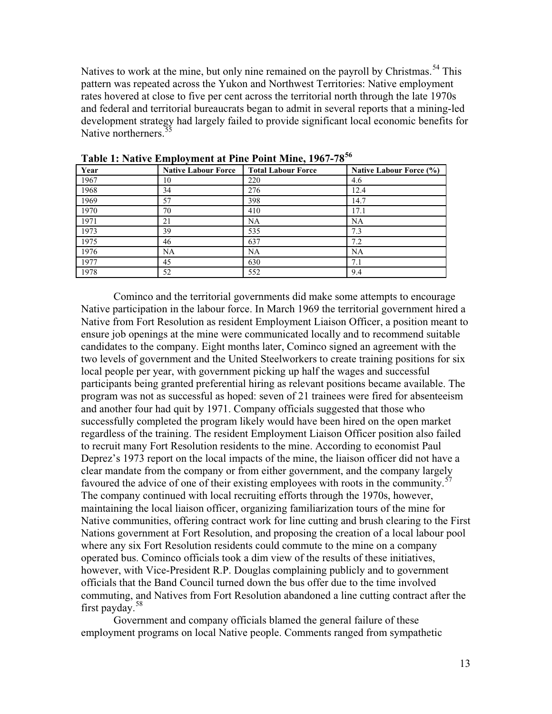Natives to work at the mine, but only nine remained on the payroll by Christmas.<sup>[54](#page-25-24)</sup> This pattern was repeated across the Yukon and Northwest Territories: Native employment rates hovered at close to five per cent across the territorial north through the late 1970s and federal and territorial bureaucrats began to admit in several reports that a mining-led development strategy had largely failed to provide significant local economic benefits for Native northerners. $\frac{5}{5}$ 

| Year | <b>Native Labour Force</b> | <b>Total Labour Force</b> | Native Labour Force (%) |
|------|----------------------------|---------------------------|-------------------------|
| 1967 | 10                         | 220                       | 4.6                     |
| 1968 | 34                         | 276                       | 12.4                    |
| 1969 | 57                         | 398                       | 14.7                    |
| 1970 | 70                         | 410                       | 17.1                    |
| 1971 | 21                         | <b>NA</b>                 | <b>NA</b>               |
| 1973 | 39                         | 535                       | 7.3                     |
| 1975 | 46                         | 637                       | 7.2                     |
| 1976 | <b>NA</b>                  | NA                        | <b>NA</b>               |
| 1977 | 45                         | 630                       | 7.1                     |
| 1978 | 52                         | 552                       | 9.4                     |

**Table 1: Native Employment at Pine Point Mine, 1967-78[56](#page-25-10)**

Cominco and the territorial governments did make some attempts to encourage Native participation in the labour force. In March 1969 the territorial government hired a Native from Fort Resolution as resident Employment Liaison Officer, a position meant to ensure job openings at the mine were communicated locally and to recommend suitable candidates to the company. Eight months later, Cominco signed an agreement with the two levels of government and the United Steelworkers to create training positions for six local people per year, with government picking up half the wages and successful participants being granted preferential hiring as relevant positions became available. The program was not as successful as hoped: seven of 21 trainees were fired for absenteeism and another four had quit by 1971. Company officials suggested that those who successfully completed the program likely would have been hired on the open market regardless of the training. The resident Employment Liaison Officer position also failed to recruit many Fort Resolution residents to the mine. According to economist Paul Deprez's 1973 report on the local impacts of the mine, the liaison officer did not have a clear mandate from the company or from either government, and the company largely favoured the advice of one of their existing employees with roots in the community.<sup>[57](#page-25-26)</sup> The company continued with local recruiting efforts through the 1970s, however, maintaining the local liaison officer, organizing familiarization tours of the mine for Native communities, offering contract work for line cutting and brush clearing to the First Nations government at Fort Resolution, and proposing the creation of a local labour pool where any six Fort Resolution residents could commute to the mine on a company operated bus. Cominco officials took a dim view of the results of these initiatives, however, with Vice-President R.P. Douglas complaining publicly and to government officials that the Band Council turned down the bus offer due to the time involved commuting, and Natives from Fort Resolution abandoned a line cutting contract after the first payday.[58](#page-25-1)

Government and company officials blamed the general failure of these employment programs on local Native people. Comments ranged from sympathetic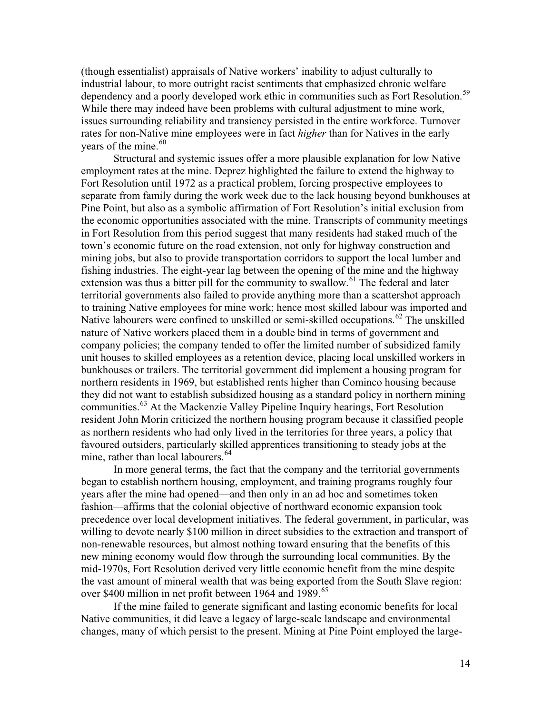(though essentialist) appraisals of Native workers' inability to adjust culturally to industrial labour, to more outright racist sentiments that emphasized chronic welfare dependency and a poorly developed work ethic in communities such as Fort Resolution.<sup>[59](#page-25-3)</sup> While there may indeed have been problems with cultural adjustment to mine work, issues surrounding reliability and transiency persisted in the entire workforce. Turnover rates for non-Native mine employees were in fact *higher* than for Natives in the early vears of the mine.  $60<sup>60</sup>$  $60<sup>60</sup>$ 

Structural and systemic issues offer a more plausible explanation for low Native employment rates at the mine. Deprez highlighted the failure to extend the highway to Fort Resolution until 1972 as a practical problem, forcing prospective employees to separate from family during the work week due to the lack housing beyond bunkhouses at Pine Point, but also as a symbolic affirmation of Fort Resolution's initial exclusion from the economic opportunities associated with the mine. Transcripts of community meetings in Fort Resolution from this period suggest that many residents had staked much of the town's economic future on the road extension, not only for highway construction and mining jobs, but also to provide transportation corridors to support the local lumber and fishing industries. The eight-year lag between the opening of the mine and the highway extension was thus a bitter pill for the community to swallow.<sup>[61](#page-25-17)</sup> The federal and later territorial governments also failed to provide anything more than a scattershot approach to training Native employees for mine work; hence most skilled labour was imported and Native labourers were confined to unskilled or semi-skilled occupations.<sup>[62](#page-25-19)</sup> The unskilled nature of Native workers placed them in a double bind in terms of government and company policies; the company tended to offer the limited number of subsidized family unit houses to skilled employees as a retention device, placing local unskilled workers in bunkhouses or trailers. The territorial government did implement a housing program for northern residents in 1969, but established rents higher than Cominco housing because they did not want to establish subsidized housing as a standard policy in northern mining communities.[63](#page-25-20) At the Mackenzie Valley Pipeline Inquiry hearings, Fort Resolution resident John Morin criticized the northern housing program because it classified people as northern residents who had only lived in the territories for three years, a policy that favoured outsiders, particularly skilled apprentices transitioning to steady jobs at the mine, rather than local labourers.<sup>[64](#page-25-28)</sup>

In more general terms, the fact that the company and the territorial governments began to establish northern housing, employment, and training programs roughly four years after the mine had opened—and then only in an ad hoc and sometimes token fashion—affirms that the colonial objective of northward economic expansion took precedence over local development initiatives. The federal government, in particular, was willing to devote nearly \$100 million in direct subsidies to the extraction and transport of non-renewable resources, but almost nothing toward ensuring that the benefits of this new mining economy would flow through the surrounding local communities. By the mid-1970s, Fort Resolution derived very little economic benefit from the mine despite the vast amount of mineral wealth that was being exported from the South Slave region: over \$400 million in net profit between 1964 and 1989.<sup>[65](#page-25-29)</sup>

If the mine failed to generate significant and lasting economic benefits for local Native communities, it did leave a legacy of large-scale landscape and environmental changes, many of which persist to the present. Mining at Pine Point employed the large-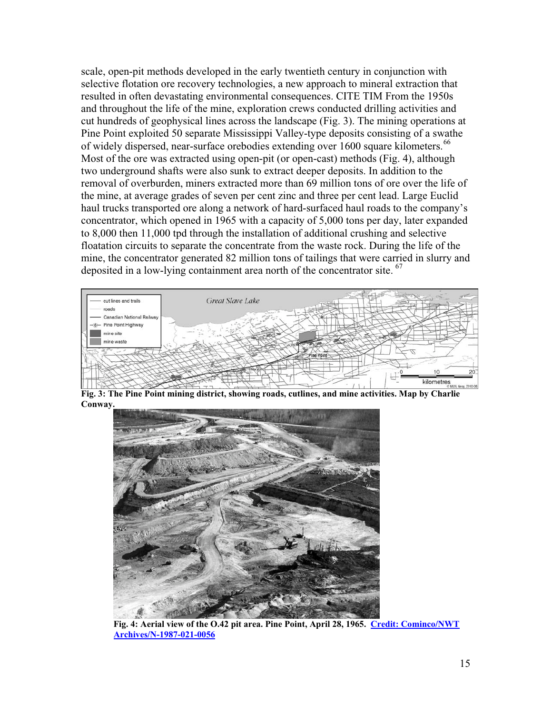scale, open-pit methods developed in the early twentieth century in conjunction with selective flotation ore recovery technologies, a new approach to mineral extraction that resulted in often devastating environmental consequences. CITE TIM From the 1950s and throughout the life of the mine, exploration crews conducted drilling activities and cut hundreds of geophysical lines across the landscape (Fig. 3). The mining operations at Pine Point exploited 50 separate Mississippi Valley-type deposits consisting of a swathe of widely dispersed, near-surface orebodies extending over 1600 square kilometers.<sup>[66](#page-25-6)</sup> Most of the ore was extracted using open-pit (or open-cast) methods (Fig. 4), although two underground shafts were also sunk to extract deeper deposits. In addition to the removal of overburden, miners extracted more than 69 million tons of ore over the life of the mine, at average grades of seven per cent zinc and three per cent lead. Large Euclid haul trucks transported ore along a network of hard-surfaced haul roads to the company's concentrator, which opened in 1965 with a capacity of 5,000 tons per day, later expanded to 8,000 then 11,000 tpd through the installation of additional crushing and selective floatation circuits to separate the concentrate from the waste rock. During the life of the mine, the concentrator generated 82 million tons of tailings that were carried in slurry and deposited in a low-lying containment area north of the concentrator site. <sup>67</sup>



**Fig. 3: The Pine Point mining district, showing roads, cutlines, and mine activities. Map by Charlie Conway.**



**Fig. 4: Aerial view of the O.42 pit area. Pine Point, April 28, 1965. [Credit: Cominco/NWT](http://pwnhc.learnnet.nt.ca/research/photogallery/Galleries/Communities/Pine%20Point%20Gallery/n-1987-021-0056.jpg)  [Archives/N-1987-021-0056](http://pwnhc.learnnet.nt.ca/research/photogallery/Galleries/Communities/Pine%20Point%20Gallery/n-1987-021-0056.jpg)**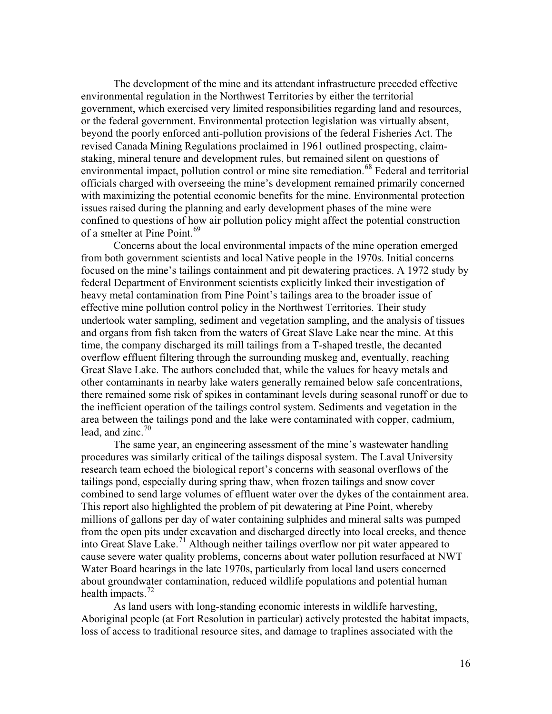The development of the mine and its attendant infrastructure preceded effective environmental regulation in the Northwest Territories by either the territorial government, which exercised very limited responsibilities regarding land and resources, or the federal government. Environmental protection legislation was virtually absent, beyond the poorly enforced anti-pollution provisions of the federal Fisheries Act. The revised Canada Mining Regulations proclaimed in 1961 outlined prospecting, claimstaking, mineral tenure and development rules, but remained silent on questions of environmental impact, pollution control or mine site remediation.<sup>[68](#page-25-30)</sup> Federal and territorial officials charged with overseeing the mine's development remained primarily concerned with maximizing the potential economic benefits for the mine. Environmental protection issues raised during the planning and early development phases of the mine were confined to questions of how air pollution policy might affect the potential construction of a smelter at Pine Point.<sup>[69](#page-25-31)</sup>

Concerns about the local environmental impacts of the mine operation emerged from both government scientists and local Native people in the 1970s. Initial concerns focused on the mine's tailings containment and pit dewatering practices. A 1972 study by federal Department of Environment scientists explicitly linked their investigation of heavy metal contamination from Pine Point's tailings area to the broader issue of effective mine pollution control policy in the Northwest Territories. Their study undertook water sampling, sediment and vegetation sampling, and the analysis of tissues and organs from fish taken from the waters of Great Slave Lake near the mine. At this time, the company discharged its mill tailings from a T-shaped trestle, the decanted overflow effluent filtering through the surrounding muskeg and, eventually, reaching Great Slave Lake. The authors concluded that, while the values for heavy metals and other contaminants in nearby lake waters generally remained below safe concentrations, there remained some risk of spikes in contaminant levels during seasonal runoff or due to the inefficient operation of the tailings control system. Sediments and vegetation in the area between the tailings pond and the lake were contaminated with copper, cadmium, lead, and zinc. $70<sup>70</sup>$  $70<sup>70</sup>$ 

The same year, an engineering assessment of the mine's wastewater handling procedures was similarly critical of the tailings disposal system. The Laval University research team echoed the biological report's concerns with seasonal overflows of the tailings pond, especially during spring thaw, when frozen tailings and snow cover combined to send large volumes of effluent water over the dykes of the containment area. This report also highlighted the problem of pit dewatering at Pine Point, whereby millions of gallons per day of water containing sulphides and mineral salts was pumped from the open pits under excavation and discharged directly into local creeks, and thence into Great Slave Lake.[71](#page-25-32) Although neither tailings overflow nor pit water appeared to cause severe water quality problems, concerns about water pollution resurfaced at NWT Water Board hearings in the late 1970s, particularly from local land users concerned about groundwater contamination, reduced wildlife populations and potential human health impacts. $72$ 

As land users with long-standing economic interests in wildlife harvesting, Aboriginal people (at Fort Resolution in particular) actively protested the habitat impacts, loss of access to traditional resource sites, and damage to traplines associated with the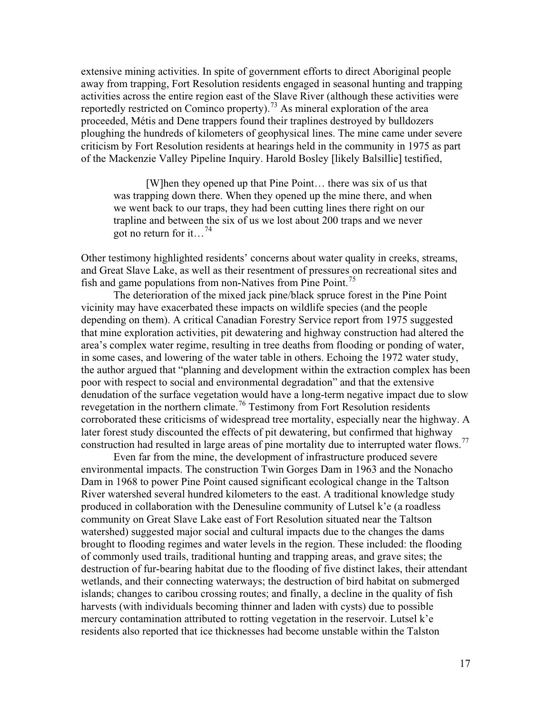extensive mining activities. In spite of government efforts to direct Aboriginal people away from trapping, Fort Resolution residents engaged in seasonal hunting and trapping activities across the entire region east of the Slave River (although these activities were reportedly restricted on Cominco property).<sup>[73](#page-25-33)</sup> As mineral exploration of the area proceeded, Métis and Dene trappers found their traplines destroyed by bulldozers ploughing the hundreds of kilometers of geophysical lines. The mine came under severe criticism by Fort Resolution residents at hearings held in the community in 1975 as part of the Mackenzie Valley Pipeline Inquiry. Harold Bosley [likely Balsillie] testified,

[W]hen they opened up that Pine Point… there was six of us that was trapping down there. When they opened up the mine there, and when we went back to our traps, they had been cutting lines there right on our trapline and between the six of us we lost about 200 traps and we never got no return for it...<sup>[74](#page-25-26)</sup>

Other testimony highlighted residents' concerns about water quality in creeks, streams, and Great Slave Lake, as well as their resentment of pressures on recreational sites and fish and game populations from non-Natives from Pine Point.<sup>[75](#page-25-0)</sup>

The deterioration of the mixed jack pine/black spruce forest in the Pine Point vicinity may have exacerbated these impacts on wildlife species (and the people depending on them). A critical Canadian Forestry Service report from 1975 suggested that mine exploration activities, pit dewatering and highway construction had altered the area's complex water regime, resulting in tree deaths from flooding or ponding of water, in some cases, and lowering of the water table in others. Echoing the 1972 water study, the author argued that "planning and development within the extraction complex has been poor with respect to social and environmental degradation" and that the extensive denudation of the surface vegetation would have a long-term negative impact due to slow revegetation in the northern climate.[76](#page-25-2) Testimony from Fort Resolution residents corroborated these criticisms of widespread tree mortality, especially near the highway. A later forest study discounted the effects of pit dewatering, but confirmed that highway construction had resulted in large areas of pine mortality due to interrupted water flows.<sup>[77](#page-25-3)</sup>

Even far from the mine, the development of infrastructure produced severe environmental impacts. The construction Twin Gorges Dam in 1963 and the Nonacho Dam in 1968 to power Pine Point caused significant ecological change in the Taltson River watershed several hundred kilometers to the east. A traditional knowledge study produced in collaboration with the Denesuline community of Lutsel k'e (a roadless community on Great Slave Lake east of Fort Resolution situated near the Taltson watershed) suggested major social and cultural impacts due to the changes the dams brought to flooding regimes and water levels in the region. These included: the flooding of commonly used trails, traditional hunting and trapping areas, and grave sites; the destruction of fur-bearing habitat due to the flooding of five distinct lakes, their attendant wetlands, and their connecting waterways; the destruction of bird habitat on submerged islands; changes to caribou crossing routes; and finally, a decline in the quality of fish harvests (with individuals becoming thinner and laden with cysts) due to possible mercury contamination attributed to rotting vegetation in the reservoir. Lutsel k'e residents also reported that ice thicknesses had become unstable within the Talston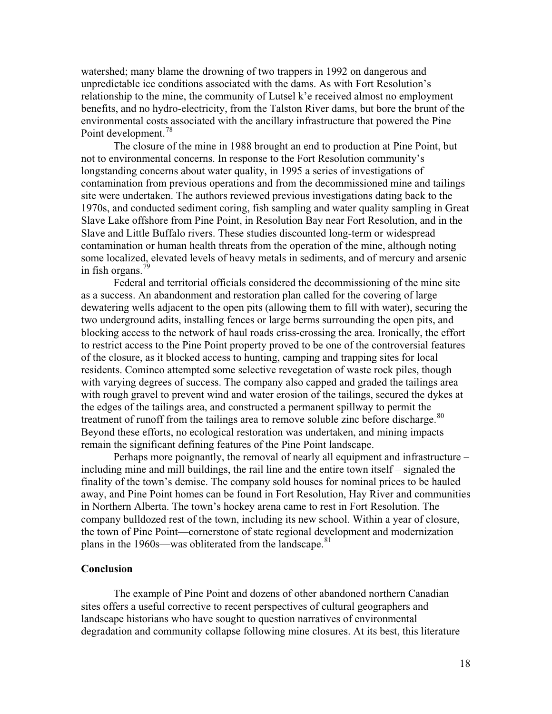watershed; many blame the drowning of two trappers in 1992 on dangerous and unpredictable ice conditions associated with the dams. As with Fort Resolution's relationship to the mine, the community of Lutsel k'e received almost no employment benefits, and no hydro-electricity, from the Talston River dams, but bore the brunt of the environmental costs associated with the ancillary infrastructure that powered the Pine Point development.<sup>[78](#page-25-34)</sup>

The closure of the mine in 1988 brought an end to production at Pine Point, but not to environmental concerns. In response to the Fort Resolution community's longstanding concerns about water quality, in 1995 a series of investigations of contamination from previous operations and from the decommissioned mine and tailings site were undertaken. The authors reviewed previous investigations dating back to the 1970s, and conducted sediment coring, fish sampling and water quality sampling in Great Slave Lake offshore from Pine Point, in Resolution Bay near Fort Resolution, and in the Slave and Little Buffalo rivers. These studies discounted long-term or widespread contamination or human health threats from the operation of the mine, although noting some localized, elevated levels of heavy metals in sediments, and of mercury and arsenic in fish organs.<sup>[79](#page-25-16)</sup>

Federal and territorial officials considered the decommissioning of the mine site as a success. An abandonment and restoration plan called for the covering of large dewatering wells adjacent to the open pits (allowing them to fill with water), securing the two underground adits, installing fences or large berms surrounding the open pits, and blocking access to the network of haul roads criss-crossing the area. Ironically, the effort to restrict access to the Pine Point property proved to be one of the controversial features of the closure, as it blocked access to hunting, camping and trapping sites for local residents. Cominco attempted some selective revegetation of waste rock piles, though with varying degrees of success. The company also capped and graded the tailings area with rough gravel to prevent wind and water erosion of the tailings, secured the dykes at the edges of the tailings area, and constructed a permanent spillway to permit the treatment of runoff from the tailings area to remove soluble zinc before discharge.<sup>[80](#page-25-27)</sup> Beyond these efforts, no ecological restoration was undertaken, and mining impacts remain the significant defining features of the Pine Point landscape.

Perhaps more poignantly, the removal of nearly all equipment and infrastructure – including mine and mill buildings, the rail line and the entire town itself – signaled the finality of the town's demise. The company sold houses for nominal prices to be hauled away, and Pine Point homes can be found in Fort Resolution, Hay River and communities in Northern Alberta. The town's hockey arena came to rest in Fort Resolution. The company bulldozed rest of the town, including its new school. Within a year of closure, the town of Pine Point—cornerstone of state regional development and modernization plans in the 1960s—was obliterated from the landscape.<sup>[81](#page-25-18)</sup>

### **Conclusion**

The example of Pine Point and dozens of other abandoned northern Canadian sites offers a useful corrective to recent perspectives of cultural geographers and landscape historians who have sought to question narratives of environmental degradation and community collapse following mine closures. At its best, this literature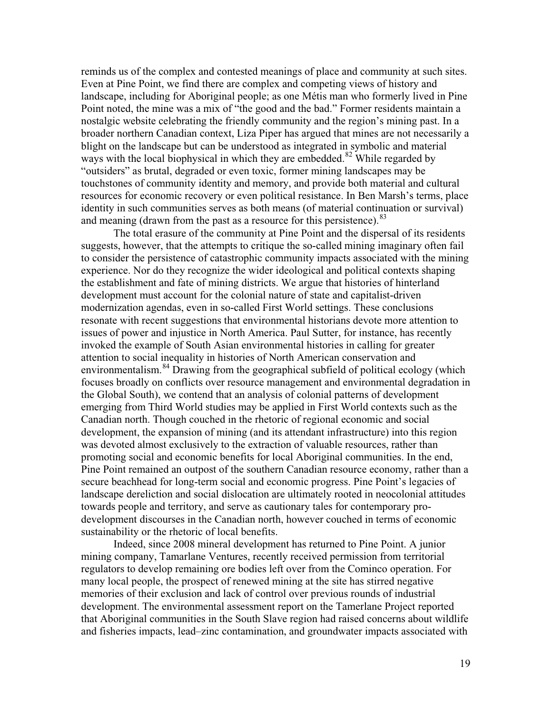reminds us of the complex and contested meanings of place and community at such sites. Even at Pine Point, we find there are complex and competing views of history and landscape, including for Aboriginal people; as one Métis man who formerly lived in Pine Point noted, the mine was a mix of "the good and the bad." Former residents maintain a nostalgic website celebrating the friendly community and the region's mining past. In a broader northern Canadian context, Liza Piper has argued that mines are not necessarily a blight on the landscape but can be understood as integrated in symbolic and material ways with the local biophysical in which they are embedded.<sup>[82](#page-25-19)</sup> While regarded by "outsiders" as brutal, degraded or even toxic, former mining landscapes may be touchstones of community identity and memory, and provide both material and cultural resources for economic recovery or even political resistance. In Ben Marsh's terms, place identity in such communities serves as both means (of material continuation or survival) and meaning (drawn from the past as a resource for this persistence).<sup>[83](#page-25-20)</sup>

The total erasure of the community at Pine Point and the dispersal of its residents suggests, however, that the attempts to critique the so-called mining imaginary often fail to consider the persistence of catastrophic community impacts associated with the mining experience. Nor do they recognize the wider ideological and political contexts shaping the establishment and fate of mining districts. We argue that histories of hinterland development must account for the colonial nature of state and capitalist-driven modernization agendas, even in so-called First World settings. These conclusions resonate with recent suggestions that environmental historians devote more attention to issues of power and injustice in North America. Paul Sutter, for instance, has recently invoked the example of South Asian environmental histories in calling for greater attention to social inequality in histories of North American conservation and environmentalism.<sup>[84](#page-25-23)</sup> Drawing from the geographical subfield of political ecology (which focuses broadly on conflicts over resource management and environmental degradation in the Global South), we contend that an analysis of colonial patterns of development emerging from Third World studies may be applied in First World contexts such as the Canadian north. Though couched in the rhetoric of regional economic and social development, the expansion of mining (and its attendant infrastructure) into this region was devoted almost exclusively to the extraction of valuable resources, rather than promoting social and economic benefits for local Aboriginal communities. In the end, Pine Point remained an outpost of the southern Canadian resource economy, rather than a secure beachhead for long-term social and economic progress. Pine Point's legacies of landscape dereliction and social dislocation are ultimately rooted in neocolonial attitudes towards people and territory, and serve as cautionary tales for contemporary prodevelopment discourses in the Canadian north, however couched in terms of economic sustainability or the rhetoric of local benefits.

Indeed, since 2008 mineral development has returned to Pine Point. A junior mining company, Tamarlane Ventures, recently received permission from territorial regulators to develop remaining ore bodies left over from the Cominco operation. For many local people, the prospect of renewed mining at the site has stirred negative memories of their exclusion and lack of control over previous rounds of industrial development. The environmental assessment report on the Tamerlane Project reported that Aboriginal communities in the South Slave region had raised concerns about wildlife and fisheries impacts, lead–zinc contamination, and groundwater impacts associated with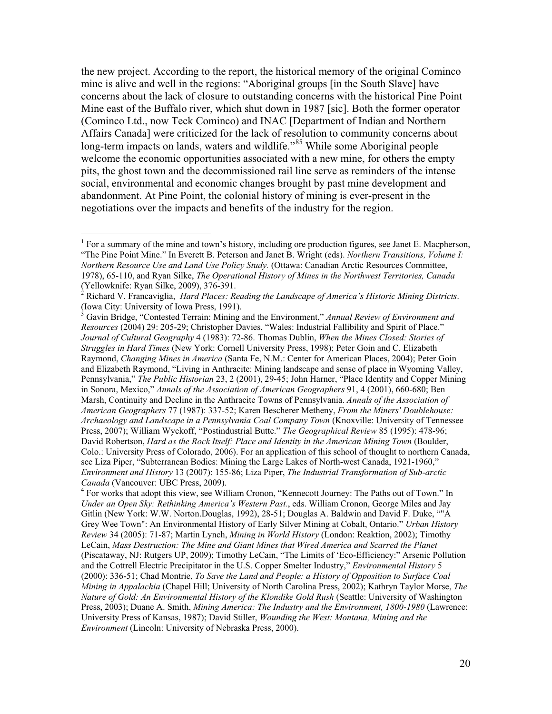the new project. According to the report, the historical memory of the original Cominco mine is alive and well in the regions: "Aboriginal groups [in the South Slave] have concerns about the lack of closure to outstanding concerns with the historical Pine Point Mine east of the Buffalo river, which shut down in 1987 [sic]. Both the former operator (Cominco Ltd., now Teck Cominco) and INAC [Department of Indian and Northern Affairs Canada] were criticized for the lack of resolution to community concerns about long-term impacts on lands, waters and wildlife."<sup>[85](#page-25-35)</sup> While some Aboriginal people welcome the economic opportunities associated with a new mine, for others the empty pits, the ghost town and the decommissioned rail line serve as reminders of the intense social, environmental and economic changes brought by past mine development and abandonment. At Pine Point, the colonial history of mining is ever-present in the negotiations over the impacts and benefits of the industry for the region.

<span id="page-19-0"></span><sup>&</sup>lt;sup>1</sup> For a summary of the mine and town's history, including ore production figures, see Janet E. Macpherson, "The Pine Point Mine." In Everett B. Peterson and Janet B. Wright (eds). *Northern Transitions, Volume I: Northern Resource Use and Land Use Policy Study.* (Ottawa: Canadian Arctic Resources Committee, 1978), 65-110, and Ryan Silke, *The Operational History of Mines in the Northwest Territories, Canada*

<span id="page-19-1"></span>Richard V. Francaviglia, *Hard Places: Reading the Landscape of America's Historic Mining Districts*. (Iowa City: University of Iowa Press, 1991).<br><sup>3</sup> Gavin Bridge, "Contested Terrain: Mining and the Environment," *Annual Review of Environment and* 

<span id="page-19-2"></span>*Resources* (2004) 29: 205-29; Christopher Davies, "Wales: Industrial Fallibility and Spirit of Place." *Journal of Cultural Geography* 4 (1983): 72-86. Thomas Dublin, *When the Mines Closed: Stories of Struggles in Hard Times* (New York: Cornell University Press, 1998); Peter Goin and C. Elizabeth Raymond, *Changing Mines in America* (Santa Fe, N.M.: Center for American Places, 2004); Peter Goin and Elizabeth Raymond, "Living in Anthracite: Mining landscape and sense of place in Wyoming Valley, Pennsylvania," *The Public Historian* 23, 2 (2001), 29-45; John Harner, "Place Identity and Copper Mining in Sonora, Mexico," *Annals of the Association of American Geographers* 91, 4 (2001), 660-680; Ben Marsh, Continuity and Decline in the Anthracite Towns of Pennsylvania. *Annals of the Association of American Geographers* 77 (1987): 337-52; Karen Bescherer Metheny, *From the Miners' Doublehouse: Archaeology and Landscape in a Pennsylvania Coal Company Town* (Knoxville: University of Tennessee Press, 2007); William Wyckoff, "Postindustrial Butte." *The Geographical Review* 85 (1995): 478-96; David Robertson, *Hard as the Rock Itself: Place and Identity in the American Mining Town* (Boulder, Colo.: University Press of Colorado, 2006). For an application of this school of thought to northern Canada, see Liza Piper, "Subterranean Bodies: Mining the Large Lakes of North-west Canada, 1921-1960," *Environment and History* 13 (2007): 155-86; Liza Piper, *The Industrial Transformation of Sub-arctic Canada* (Vancouver: UBC Press, 2009).<br><sup>4</sup> For works that adopt this view, see William Cronon, "Kennecott Journey: The Paths out of Town." In

<span id="page-19-3"></span>*Under an Open Sky: Rethinking America's Western Past.*, eds. William Cronon, George Miles and Jay Gitlin (New York: W.W. Norton.Douglas, 1992), 28-51; Douglas A. Baldwin and David F. Duke, ""A Grey Wee Town": An Environmental History of Early Silver Mining at Cobalt, Ontario." *Urban History Review* 34 (2005): 71-87; Martin Lynch, *Mining in World History* (London: Reaktion, 2002); Timothy LeCain, *Mass Destruction: The Mine and Giant Mines that Wired America and Scarred the Planet* (Piscataway, NJ: Rutgers UP, 2009); Timothy LeCain, "The Limits of 'Eco-Efficiency:" Arsenic Pollution and the Cottrell Electric Precipitator in the U.S. Copper Smelter Industry," *Environmental History* 5 (2000): 336-51; Chad Montrie, *To Save the Land and People: a History of Opposition to Surface Coal Mining in Appalachia* (Chapel Hill; University of North Carolina Press, 2002); Kathryn Taylor Morse, *The Nature of Gold: An Environmental History of the Klondike Gold Rush* (Seattle: University of Washington Press, 2003); Duane A. Smith, *Mining America: The Industry and the Environment, 1800-1980* (Lawrence: University Press of Kansas, 1987); David Stiller, *Wounding the West: Montana, Mining and the Environment* (Lincoln: University of Nebraska Press, 2000).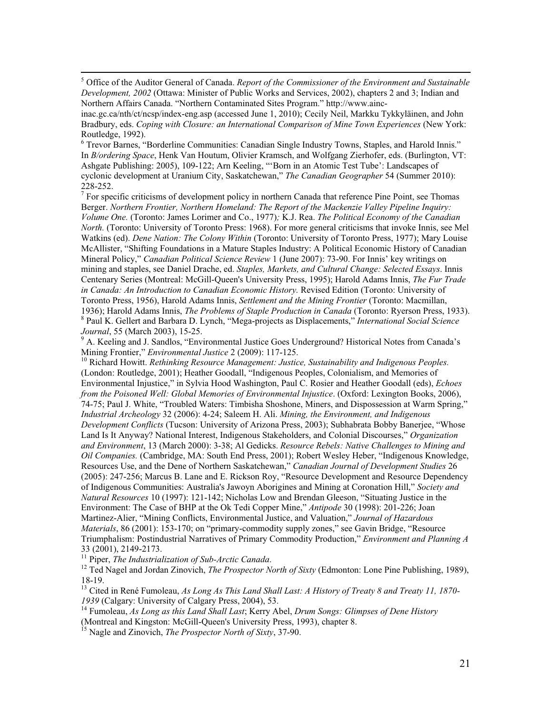<span id="page-20-0"></span> 5 Office of the Auditor General of Canada. *Report of the Commissioner of the Environment and Sustainable Development, 2002* (Ottawa: Minister of Public Works and Services, 2002), chapters 2 and 3; Indian and Northern Affairs Canada. "Northern Contaminated Sites Program." http://www.ainc-

<span id="page-20-1"></span><sup>6</sup> Trevor Barnes, "Borderline Communities: Canadian Single Industry Towns, Staples, and Harold Innis." In *B/ordering Space*, Henk Van Houtum, Olivier Kramsch, and Wolfgang Zierhofer, eds. (Burlington, VT: Ashgate Publishing: 2005), 109-122; Arn Keeling, "'Born in an Atomic Test Tube': Landscapes of cyclonic development at Uranium City, Saskatchewan," *The Canadian Geographer* 54 (Summer 2010):

228-252.<br><sup>7</sup> For specific criticisms of development policy in northern Canada that reference Pine Point, see Thomas Berger. *Northern Frontier, Northern Homeland: The Report of the Mackenzie Valley Pipeline Inquiry: Volume One.* (Toronto: James Lorimer and Co., 1977)*;* K.J. Rea. *The Political Economy of the Canadian North.* (Toronto: University of Toronto Press: 1968). For more general criticisms that invoke Innis, see Mel Watkins (ed). *Dene Nation: The Colony Within* (Toronto: University of Toronto Press, 1977); Mary Louise McAllister, "Shifting Foundations in a Mature Staples Industry: A Political Economic History of Canadian Mineral Policy," *Canadian Political Science Review* 1 (June 2007): 73-90. For Innis' key writings on mining and staples, see Daniel Drache, ed. *Staples, Markets, and Cultural Change: Selected Essays*. Innis Centenary Series (Montreal: McGill-Queen's University Press, 1995); Harold Adams Innis, *The Fur Trade*  in Canada: An Introduction to Canadian Economic History. Revised Edition (Toronto: University of Toronto Press, 1956), Harold Adams Innis, *Settlement and the Mining Frontier* (Toronto: Macmillan, 1936); Harold Adams Innis, *The Problems of Staple Production in Canada* (Toronto: Ryerson Press, 1933). <sup>8</sup> Paul K. Gellert and Barbara D. Lynch, "Mega-projects as Displacements," *International Social Science Journal*, 55 (March 2003), 15-25.<br><sup>9</sup> A. Kesling and L. See ill. (S. C. S. C. S. C. S. C. S. C. S. C. S. C. S. S. C.

A. Keeling and J. Sandlos, "Environmental Justice Goes Underground? Historical Notes from Canada's Mining Frontier," *Environmental Justice* 2 (2009): 117-125.

<sup>10</sup> Richard Howitt. *Rethinking Resource Management: Justice, Sustainability and Indigenous Peoples.* (London: Routledge, 2001); Heather Goodall, "Indigenous Peoples, Colonialism, and Memories of Environmental Injustice," in Sylvia Hood Washington, Paul C. Rosier and Heather Goodall (eds), *Echoes from the Poisoned Well: Global Memories of Environmental Injustice*. (Oxford: Lexington Books, 2006), 74-75; Paul J. White, "Troubled Waters: Timbisha Shoshone, Miners, and Dispossession at Warm Spring," *Industrial Archeology* 32 (2006): 4-24; Saleem H. Ali. *Mining, the Environment, and Indigenous Development Conflicts* (Tucson: University of Arizona Press, 2003); Subhabrata Bobby Banerjee, "Whose Land Is It Anyway? National Interest, Indigenous Stakeholders, and Colonial Discourses," *Organization and Environment*, 13 (March 2000): 3-38; Al Gedicks. *Resource Rebels: Native Challenges to Mining and Oil Companies.* (Cambridge, MA: South End Press, 2001); Robert Wesley Heber, "Indigenous Knowledge, Resources Use, and the Dene of Northern Saskatchewan," *Canadian Journal of Development Studies* 26 (2005): 247-256; Marcus B. Lane and E. Rickson Roy, "Resource Development and Resource Dependency of Indigenous Communities: Australia's Jawoyn Aborigines and Mining at Coronation Hill," *Society and Natural Resources* 10 (1997): 121-142; Nicholas Low and Brendan Gleeson, "Situating Justice in the Environment: The Case of BHP at the Ok Tedi Copper Mine," *Antipode* 30 (1998): 201-226; Joan Martinez-Alier, "Mining Conflicts, Environmental Justice, and Valuation," *Journal of Hazardous Materials*, 86 (2001): 153-170; on "primary-commodity supply zones," see Gavin Bridge, "Resource Triumphalism: Postindustrial Narratives of Primary Commodity Production," *Environment and Planning A* 33 (2001), 2149-2173. <sup>11</sup> Piper, *The Industrialization of Sub-Arctic Canada*. <sup>12</sup> Ted Nagel and Jordan Zinovich, *The Prospector North of Sixty* (Edmonton: Lone Pine Publishing, 1989),

18-19.

<sup>13</sup> Cited in René Fumoleau, *As Long As This Land Shall Last: A History of Treaty 8 and Treaty 11, 1870-1939* (Calgary: University of Calgary Press, 2004), 53.

<sup>14</sup> Fumoleau, *As Long as this Land Shall Last*; Kerry Abel, *Drum Songs: Glimpses of Dene History* (Montreal and Kingston: McGill-Queen's University Press, 1993), chapter 8.

<sup>15</sup> Nagle and Zinovich, *The Prospector North of Sixty*, 37-90.

inac.gc.ca/nth/ct/ncsp/index-eng.asp (accessed June 1, 2010); Cecily Neil, Markku Tykkyläinen, and John Bradbury, eds. *Coping with Closure: an International Comparison of Mine Town Experiences* (New York: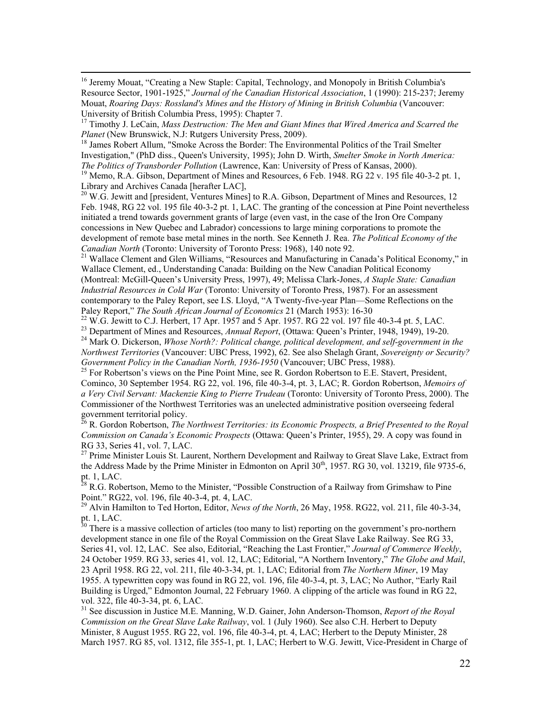<sup>16</sup> Jeremy Mouat, "Creating a New Staple: Capital, Technology, and Monopoly in British Columbia's Resource Sector, 1901-1925," *Journal of the Canadian Historical Association*, 1 (1990): 215-237; Jeremy Mouat, *Roaring Days: Rossland's Mines and the History of Mining in British Columbia* (Vancouver: University of British Columbia Press, 1995): Chapter 7.

<sup>18</sup> James Robert Allum, "Smoke Across the Border: The Environmental Politics of the Trail Smelter Investigation," (PhD diss., Queen's University, 1995); John D. Wirth, *Smelter Smoke in North America:* 

<sup>19</sup> Memo, R.A. Gibson, Department of Mines and Resources, 6 Feb. 1948. RG 22 v. 195 file 40-3-2 pt. 1, Library and Archives Canada [herafter LAC],

<span id="page-21-0"></span> $^{20}$  W.G. Jewitt and [president, Ventures Mines] to R.A. Gibson, Department of Mines and Resources, 12 Feb. 1948, RG 22 vol. 195 file 40-3-2 pt. 1, LAC. The granting of the concession at Pine Point nevertheless initiated a trend towards government grants of large (even vast, in the case of the Iron Ore Company concessions in New Quebec and Labrador) concessions to large mining corporations to promote the development of remote base metal mines in the north. See Kenneth J. Rea. *The Political Economy of the* 

<sup>21</sup> Wallace Clement and Glen Williams, "Resources and Manufacturing in Canada's Political Economy," in Wallace Clement, ed., Understanding Canada: Building on the New Canadian Political Economy (Montreal: McGill-Queen's University Press, 1997), 49; Melissa Clark-Jones, *A Staple State: Canadian Industrial Resources in Cold War* (Toronto: University of Toronto Press, 1987). For an assessment contemporary to the Paley Report, see I.S. Lloyd, "A Twenty-five-year Plan—Some Reflections on the Paley Report," *The South African Journal of Economics* 21 (March 1953): 16-30<br><sup>22</sup> W.G. Jewitt to C.J. Herbert, 17 Apr. 1957 and 5 Apr. 1957. RG 22 vol. 197 file 40-3-4 pt. 5, LAC.<br><sup>23</sup> Department of Mines and Resources,

<span id="page-21-1"></span>

<span id="page-21-2"></span>*Northwest Territories* (Vancouver: UBC Press, 1992), 62. See also Shelagh Grant, *Sovereignty or Security? Government Policy in the Canadian North, 1936-1950* (Vancouver; UBC Press, 1988).

<span id="page-21-3"></span> $25$  For Robertson's views on the Pine Point Mine, see R. Gordon Robertson to E.E. Stavert, President, Cominco, 30 September 1954. RG 22, vol. 196, file 40-3-4, pt. 3, LAC; R. Gordon Robertson, *Memoirs of a Very Civil Servant: Mackenzie King to Pierre Trudeau* (Toronto: University of Toronto Press, 2000). The Commissioner of the Northwest Territories was an unelected administrative position overseeing federal government territorial policy.

<sup>26</sup> R. Gordon Robertson, *The Northwest Territories: its Economic Prospects, a Brief Presented to the Royal Commission on Canada's Economic Prospects* (Ottawa: Queen's Printer, 1955), 29. A copy was found in RG 33, Series 41, vol. 7, LAC.

<sup>27</sup> Prime Minister Louis St. Laurent, Northern Development and Railway to Great Slave Lake, Extract from the Address Made by the Prime Minister in Edmonton on April 30<sup>th</sup>, 1957. RG 30, vol. 13219, file 9735-6, pt. 1, LAC.

 $28$  R.G. Robertson, Memo to the Minister, "Possible Construction of a Railway from Grimshaw to Pine Point." RG22, vol. 196, file 40-3-4, pt. 4, LAC.

<sup>29</sup> Alvin Hamilton to Ted Horton, Editor, *News of the North*, 26 May, 1958. RG22, vol. 211, file 40-3-34, pt. 1, LAC.

<span id="page-21-4"></span> $30$  There is a massive collection of articles (too many to list) reporting on the government's pro-northern development stance in one file of the Royal Commission on the Great Slave Lake Railway. See RG 33, Series 41, vol. 12, LAC. See also, Editorial, "Reaching the Last Frontier," *Journal of Commerce Weekly*, 24 October 1959. RG 33, series 41, vol. 12, LAC; Editorial, "A Northern Inventory," *The Globe and Mail*, 23 April 1958. RG 22, vol. 211, file 40-3-34, pt. 1, LAC; Editorial from *The Northern Miner*, 19 May 1955. A typewritten copy was found in RG 22, vol. 196, file 40-3-4, pt. 3, LAC; No Author, "Early Rail Building is Urged," Edmonton Journal, 22 February 1960. A clipping of the article was found in RG 22, vol. 322, file 40-3-34, pt. 6, LAC.

<sup>31</sup> See discussion in Justice M.E. Manning, W.D. Gainer, John Anderson-Thomson, *Report of the Royal Commission on the Great Slave Lake Railway*, vol. 1 (July 1960). See also C.H. Herbert to Deputy Minister, 8 August 1955. RG 22, vol. 196, file 40-3-4, pt. 4, LAC; Herbert to the Deputy Minister, 28 March 1957. RG 85, vol. 1312, file 355-1, pt. 1, LAC; Herbert to W.G. Jewitt, Vice-President in Charge of

<sup>&</sup>lt;sup>17</sup> Timothy J. LeCain, *Mass Destruction: The Men and Giant Mines that Wired America and Scarred the Planet (New Brunswick, N.J: Rutgers University Press, 2009).*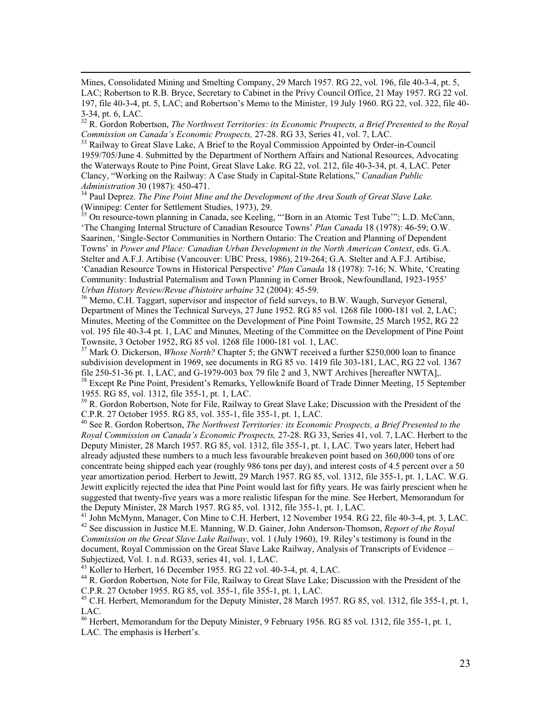<span id="page-22-4"></span> Mines, Consolidated Mining and Smelting Company, 29 March 1957. RG 22, vol. 196, file 40-3-4, pt. 5, LAC; Robertson to R.B. Bryce, Secretary to Cabinet in the Privy Council Office, 21 May 1957. RG 22 vol. 197, file 40-3-4, pt. 5, LAC; and Robertson's Memo to the Minister, 19 July 1960. RG 22, vol. 322, file 40- 3-34, pt. 6, LAC.

<sup>32</sup> R. Gordon Robertson, *The Northwest Territories: its Economic Prospects, a Brief Presented to the Royal Commission on Canada's Economic Prospects,* 27-28. RG 33, Series 41, vol. 7, LAC.

<sup>33</sup> Railway to Great Slave Lake, A Brief to the Royal Commission Appointed by Order-in-Council 1959/705/June 4. Submitted by the Department of Northern Affairs and National Resources, Advocating the Waterways Route to Pine Point, Great Slave Lake. RG 22, vol. 212, file 40-3-34, pt. 4, LAC. Peter Clancy, "Working on the Railway: A Case Study in Capital-State Relations," *Canadian Public Administration* 30 (1987): 450-471.

<sup>34</sup> Paul Deprez. *The Pine Point Mine and the Development of the Area South of Great Slave Lake.* (Winnipeg: Center for Settlement Studies, 1973), 29.

<sup>35</sup> On resource-town planning in Canada, see Keeling, "'Born in an Atomic Test Tube'"; L.D. McCann, 'The Changing Internal Structure of Canadian Resource Towns' *Plan Canada* 18 (1978): 46-59; O.W. Saarinen, 'Single-Sector Communities in Northern Ontario: The Creation and Planning of Dependent Towns' in *Power and Place: Canadian Urban Development in the North American Context*, eds. G.A. Stelter and A.F.J. Artibise (Vancouver: UBC Press, 1986), 219-264; G.A. Stelter and A.F.J. Artibise, 'Canadian Resource Towns in Historical Perspective' *Plan Canada* 18 (1978): 7-16; N. White, 'Creating Community: Industrial Paternalism and Town Planning in Corner Brook, Newfoundland, 1923-1955' *Urban History Review/Revue d'histoire urbaine* 32 (2004): 45-59.

<sup>36</sup> Memo, C.H. Taggart, supervisor and inspector of field surveys, to B.W. Waugh, Surveyor General, Department of Mines the Technical Surveys, 27 June 1952. RG 85 vol. 1268 file 1000-181 vol. 2, LAC; Minutes, Meeting of the Committee on the Development of Pine Point Townsite, 25 March 1952, RG 22 vol. 195 file 40-3-4 pt. 1, LAC and Minutes, Meeting of the Committee on the Development of Pine Point Townsite, 3 October 1952, RG 85 vol. 1268 file 1000-181 vol. 1, LAC.

<sup>37</sup> Mark O. Dickerson, *Whose North?* Chapter 5; the GNWT received a further \$250,000 loan to finance subdivision development in 1969, see documents in RG 85 vo. 1419 file 303-181, LAC, RG 22 vol. 1367 file 250-51-36 pt. 1, LAC, and G-1979-003 box 79 file 2 and 3, NWT Archives [hereafter NWTA].

<sup>38</sup> Except Re Pine Point, President's Remarks, Yellowknife Board of Trade Dinner Meeting, 15 September 1955. RG 85, vol. 1312, file 355-1, pt. 1, LAC.

<sup>39</sup> R. Gordon Robertson, Note for File, Railway to Great Slave Lake; Discussion with the President of the C.P.R. 27 October 1955. RG 85, vol. 355-1, file 355-1, pt. 1, LAC.

<sup>40</sup> See R. Gordon Robertson, *The Northwest Territories: its Economic Prospects, a Brief Presented to the Royal Commission on Canada's Economic Prospects,* 27-28. RG 33, Series 41, vol. 7, LAC. Herbert to the Deputy Minister, 28 March 1957. RG 85, vol. 1312, file 355-1, pt. 1, LAC. Two years later, Hebert had already adjusted these numbers to a much less favourable breakeven point based on 360,000 tons of ore concentrate being shipped each year (roughly 986 tons per day), and interest costs of 4.5 percent over a 50 year amortization period. Herbert to Jewitt, 29 March 1957. RG 85, vol. 1312, file 355-1, pt. 1, LAC. W.G. Jewitt explicitly rejected the idea that Pine Point would last for fifty years. He was fairly prescient when he suggested that twenty-five years was a more realistic lifespan for the mine. See Herbert, Memorandum for the Deputy Minister, 28 March 1957. RG 85, vol. 1312, file 355-1, pt. 1, LAC.

<sup>41</sup> John McMynn, Manager, Con Mine to C.H. Herbert, 12 November 1954. RG 22, file 40-3-4, pt. 3, LAC. <sup>42</sup> See discussion in Justice M.E. Manning, W.D. Gainer, John Anderson-Thomson, *Report of the Royal Commission on the Great Slave Lake Railway*, vol. 1 (July 1960), 19. Riley's testimony is found in the document, Royal Commission on the Great Slave Lake Railway, Analysis of Transcripts of Evidence – Subjectized, Vol. 1. n.d. RG33, series 41, vol. 1, LAC.<br><sup>43</sup> Koller to Herbert, 16 December 1955. RG 22 vol. 40-3-4, pt. 4, LAC.

<span id="page-22-0"></span>

<span id="page-22-1"></span><sup>44</sup> R. Gordon Robertson, Note for File, Railway to Great Slave Lake; Discussion with the President of the C.P.R. 27 October 1955. RG 85, vol. 355-1, file 355-1, pt. 1, LAC.

 $^{45}$  C.H. Herbert, Memorandum for the Deputy Minister, 28 March 1957. RG 85, vol. 1312, file 355-1, pt. 1, LAC.

<span id="page-22-3"></span><span id="page-22-2"></span><sup>46</sup> Herbert, Memorandum for the Deputy Minister, 9 February 1956. RG 85 vol. 1312, file 355-1, pt. 1, LAC. The emphasis is Herbert's.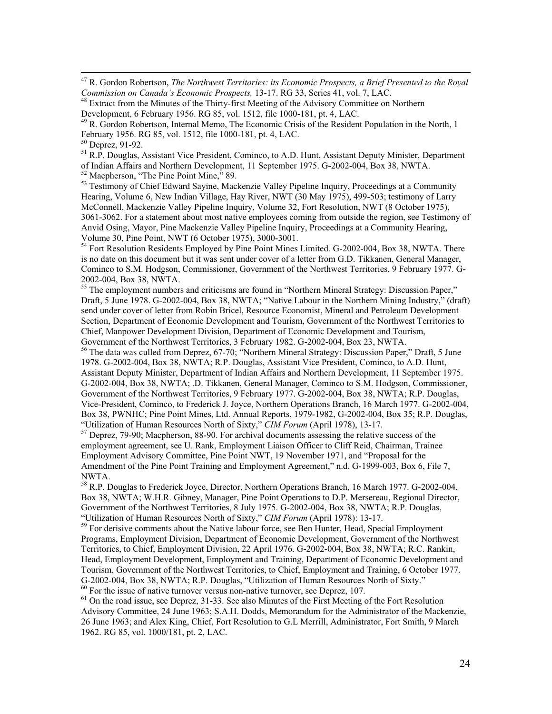47 R. Gordon Robertson, *The Northwest Territories: its Economic Prospects, a Brief Presented to the Royal Commission on Canada's Economic Prospects,* 13-17. RG 33, Series 41, vol. 7, LAC.

<sup>48</sup> Extract from the Minutes of the Thirty-first Meeting of the Advisory Committee on Northern Development, 6 February 1956. RG 85, vol. 1512, file 1000-181, pt. 4, LAC.

<span id="page-23-0"></span><sup>49</sup> R. Gordon Robertson, Internal Memo, The Economic Crisis of the Resident Population in the North, 1 February 1956. RG 85, vol. 1512, file 1000-181, pt. 4, LAC.

<span id="page-23-1"></span><sup>50</sup> Deprez, 91-92.

<sup>51</sup> R.P. Douglas, Assistant Vice President, Cominco, to A.D. Hunt, Assistant Deputy Minister, Department of Indian Affairs and Northern Development, 11 September 1975. G-2002-004, Box 38, NWTA. 52 Macpherson, "The Pine Point Mine," 89.

<span id="page-23-3"></span><span id="page-23-2"></span><sup>53</sup> Testimony of Chief Edward Sayine, Mackenzie Valley Pipeline Inquiry, Proceedings at a Community Hearing, Volume 6, New Indian Village, Hay River, NWT (30 May 1975), 499-503; testimony of Larry McConnell, Mackenzie Valley Pipeline Inquiry, Volume 32, Fort Resolution, NWT (8 October 1975), 3061-3062. For a statement about most native employees coming from outside the region, see Testimony of Anvid Osing, Mayor, Pine Mackenzie Valley Pipeline Inquiry, Proceedings at a Community Hearing, Volume 30, Pine Point, NWT (6 October 1975), 3000-3001.

<sup>54</sup> Fort Resolution Residents Employed by Pine Point Mines Limited. G-2002-004, Box 38, NWTA. There is no date on this document but it was sent under cover of a letter from G.D. Tikkanen, General Manager, Cominco to S.M. Hodgson, Commissioner, Government of the Northwest Territories, 9 February 1977. G-

2002-004, Box 38, NWTA. 55 The employment numbers and criticisms are found in "Northern Mineral Strategy: Discussion Paper," Draft, 5 June 1978. G-2002-004, Box 38, NWTA; "Native Labour in the Northern Mining Industry," (draft) send under cover of letter from Robin Bricel, Resource Economist, Mineral and Petroleum Development Section, Department of Economic Development and Tourism, Government of the Northwest Territories to Chief, Manpower Development Division, Department of Economic Development and Tourism,

<sup>56</sup> The data was culled from Deprez, 67-70; "Northern Mineral Strategy: Discussion Paper," Draft, 5 June 1978. G-2002-004, Box 38, NWTA; R.P. Douglas, Assistant Vice President, Cominco, to A.D. Hunt, Assistant Deputy Minister, Department of Indian Affairs and Northern Development, 11 September 1975. G-2002-004, Box 38, NWTA; .D. Tikkanen, General Manager, Cominco to S.M. Hodgson, Commissioner, Government of the Northwest Territories, 9 February 1977. G-2002-004, Box 38, NWTA; R.P. Douglas, Vice-President, Cominco, to Frederick J. Joyce, Northern Operations Branch, 16 March 1977. G-2002-004, Box 38, PWNHC; Pine Point Mines, Ltd. Annual Reports, 1979-1982, G-2002-004, Box 35; R.P. Douglas, "Utilization of Human Resources North of Sixty," CIM Forum (April 1978), 13-17.

<sup>57</sup> Deprez, 79-90; Macpherson, 88-90. For archival documents assessing the relative success of the employment agreement, see U. Rank, Employment Liaison Officer to Cliff Reid, Chairman, Trainee Employment Advisory Committee, Pine Point NWT, 19 November 1971, and "Proposal for the Amendment of the Pine Point Training and Employment Agreement," n.d. G-1999-003, Box 6, File 7, NWTA.

 $58$  R.P. Douglas to Frederick Joyce, Director, Northern Operations Branch, 16 March 1977. G-2002-004, Box 38, NWTA; W.H.R. Gibney, Manager, Pine Point Operations to D.P. Mersereau, Regional Director, Government of the Northwest Territories, 8 July 1975. G-2002-004, Box 38, NWTA; R.P. Douglas, "Utilization of Human Resources North of Sixty," *CIM Forum* (April 1978): 13-17.

<sup>59</sup> For derisive comments about the Native labour force, see Ben Hunter, Head, Special Employment Programs, Employment Division, Department of Economic Development, Government of the Northwest Territories, to Chief, Employment Division, 22 April 1976. G-2002-004, Box 38, NWTA; R.C. Rankin, Head, Employment Development, Employment and Training, Department of Economic Development and Tourism, Government of the Northwest Territories, to Chief, Employment and Training, 6 October 1977. G-2002-004, Box 38, NWTA; R.P. Douglas, "Utilization of Human Resources North of Sixty."  $60$  For the issue of native turnover versus non-native turnover, see Deprez, 107.

<sup>61</sup> On the road issue, see Deprez, 31-33. See also Minutes of the First Meeting of the Fort Resolution Advisory Committee, 24 June 1963; S.A.H. Dodds, Memorandum for the Administrator of the Mackenzie, 26 June 1963; and Alex King, Chief, Fort Resolution to G.L Merrill, Administrator, Fort Smith, 9 March 1962. RG 85, vol. 1000/181, pt. 2, LAC.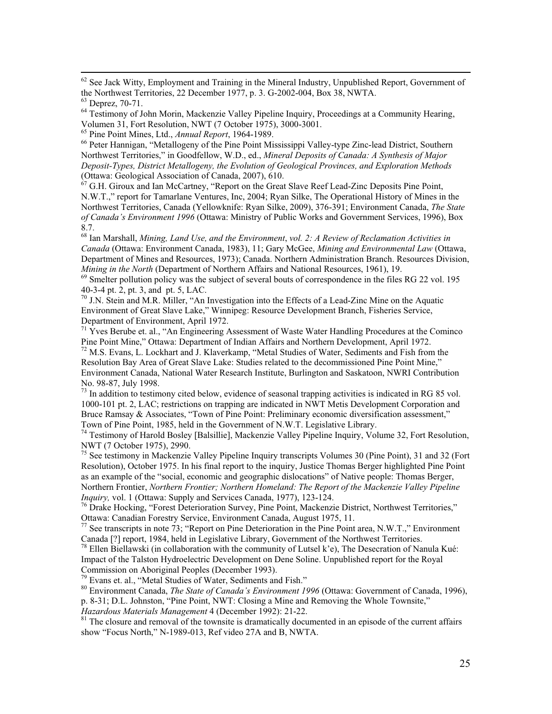<sup>62</sup> See Jack Witty, Employment and Training in the Mineral Industry, Unpublished Report, Government of the Northwest Territories, 22 December 1977, p. 3. G-2002-004, Box 38, NWTA. <sup>63</sup> Deprez, 70-71.

<sup>64</sup> Testimony of John Morin, Mackenzie Valley Pipeline Inquiry, Proceedings at a Community Hearing, Volumen 31, Fort Resolution, NWT (7 October 1975), 3000-3001.

<sup>65</sup> Pine Point Mines, Ltd., *Annual Report*, 1964-1989.

<sup>66</sup> Peter Hannigan, "Metallogeny of the Pine Point Mississippi Valley-type Zinc-lead District, Southern Northwest Territories," in Goodfellow, W.D., ed., *Mineral Deposits of Canada: A Synthesis of Major Deposit-Types, District Metallogeny, the Evolution of Geological Provinces, and Exploration Methods* (Ottawa: Geological Association of Canada, 2007), 610.<br>  $^{67}$  G H. Circuit and M.

<sup>67</sup> G.H. Giroux and Ian McCartney, "Report on the Great Slave Reef Lead-Zinc Deposits Pine Point, N.W.T.," report for Tamarlane Ventures, Inc, 2004; Ryan Silke, The Operational History of Mines in the Northwest Territories, Canada (Yellowknife: Ryan Silke, 2009), 376-391; Environment Canada, *The State of Canada's Environment 1996* (Ottawa: Ministry of Public Works and Government Services, 1996), Box 8.7.

<sup>68</sup> Ian Marshall, *Mining, Land Use, and the Environment*, *vol. 2: A Review of Reclamation Activities in Canada* (Ottawa: Environment Canada, 1983), 11; Gary McGee, *Mining and Environmental Law* (Ottawa, Department of Mines and Resources, 1973); Canada. Northern Administration Branch. Resources Division, *Mining in the North* (Department of Northern Affairs and National Resources, 1961), 19.

<span id="page-24-0"></span> $^{69}$  Smelter pollution policy was the subject of several bouts of correspondence in the files RG 22 vol. 195 40-3-4 pt. 2, pt. 3, and pt. 5, LAC.

<sup>70</sup> J.N. Stein and M.R. Miller, "An Investigation into the Effects of a Lead-Zinc Mine on the Aquatic Environment of Great Slave Lake," Winnipeg: Resource Development Branch, Fisheries Service, Department of Environment, April 1972.

<span id="page-24-2"></span><span id="page-24-1"></span> $71$  Yves Berube et. al., "An Engineering Assessment of Waste Water Handling Procedures at the Cominco Pine Point Mine," Ottawa: Department of Indian Affairs and Northern Development, April 1972.

<span id="page-24-3"></span><sup>72</sup> M.S. Evans, L. Lockhart and J. Klaverkamp, "Metal Studies of Water, Sediments and Fish from the Resolution Bay Area of Great Slave Lake: Studies related to the decommissioned Pine Point Mine," Environment Canada, National Water Research Institute, Burlington and Saskatoon, NWRI Contribution No. 98-87, July 1998.

<span id="page-24-4"></span> $^{73}$  In addition to testimony cited below, evidence of seasonal trapping activities is indicated in RG 85 vol. 1000-101 pt. 2, LAC; restrictions on trapping are indicated in NWT Metis Development Corporation and Bruce Ramsay & Associates, "Town of Pine Point: Preliminary economic diversification assessment," Town of Pine Point, 1985, held in the Government of N.W.T. Legislative Library.

<span id="page-24-5"></span><sup>74</sup> Testimony of Harold Bosley [Balsillie], Mackenzie Valley Pipeline Inquiry, Volume 32, Fort Resolution, NWT (7 October 1975), 2990.

<sup>75</sup> See testimony in Mackenzie Valley Pipeline Inquiry transcripts Volumes 30 (Pine Point), 31 and 32 (Fort Resolution), October 1975. In his final report to the inquiry, Justice Thomas Berger highlighted Pine Point as an example of the "social, economic and geographic dislocations" of Native people: Thomas Berger, Northern Frontier, *Northern Frontier; Northern Homeland: The Report of the Mackenzie Valley Pipeline Inquiry, vol. 1 (Ottawa: Supply and Services Canada, 1977), 123-124.* 

<sup>76</sup> Drake Hocking, "Forest Deterioration Survey, Pine Point, Mackenzie District, Northwest Territories," Ottawa: Canadian Forestry Service, Environment Canada, August 1975, 11.<br><sup>77</sup> See transcripts in note 73; "Report on Pine Deterioration in the Pine Point area, N.W.T.," Environment

Canada [?] report, 1984, held in Legislative Library, Government of the Northwest Territories.

 $78$  Ellen Biellawski (in collaboration with the community of Lutsel k'e), The Desecration of Nanula Kué: Impact of the Talston Hydroelectric Development on Dene Soline. Unpublished report for the Royal Commission on Aboriginal Peoples (December 1993).

<sup>79</sup> Evans et. al., "Metal Studies of Water, Sediments and Fish."

<sup>80</sup> Environment Canada, *The State of Canada's Environment 1996* (Ottawa: Government of Canada, 1996),

p. 8-31; D.L. Johnston, "Pine Point, NWT: Closing a Mine and Removing the Whole Townsite,"

*Hazardous Materials Management* 4 (December 1992): 21-22.

 $81$ <sup>81</sup> The closure and removal of the townsite is dramatically documented in an episode of the current affairs show "Focus North," N-1989-013, Ref video 27A and B, NWTA.